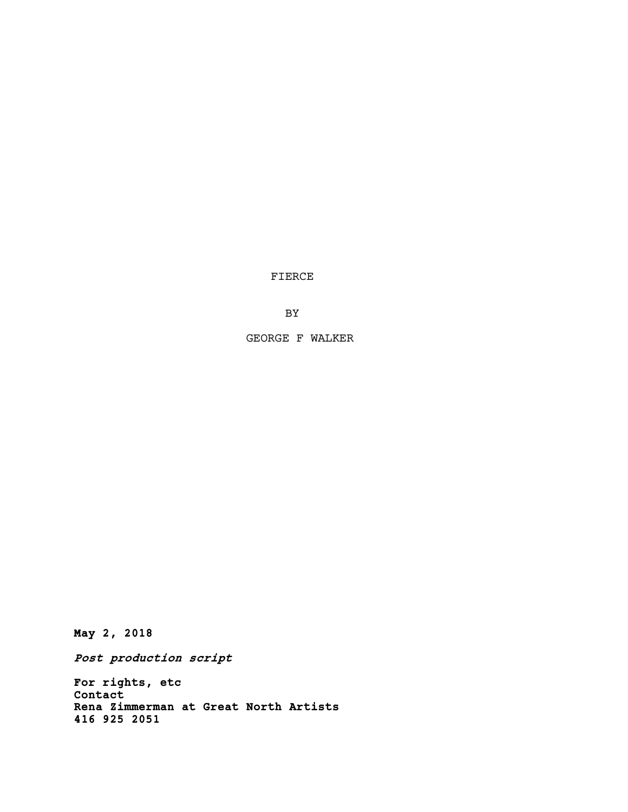FIERCE

BY

GEORGE F WALKER

May 2, 2018

Post production script

For rights, etc Contact Rena Zimmerman at Great North Artists 416 925 2051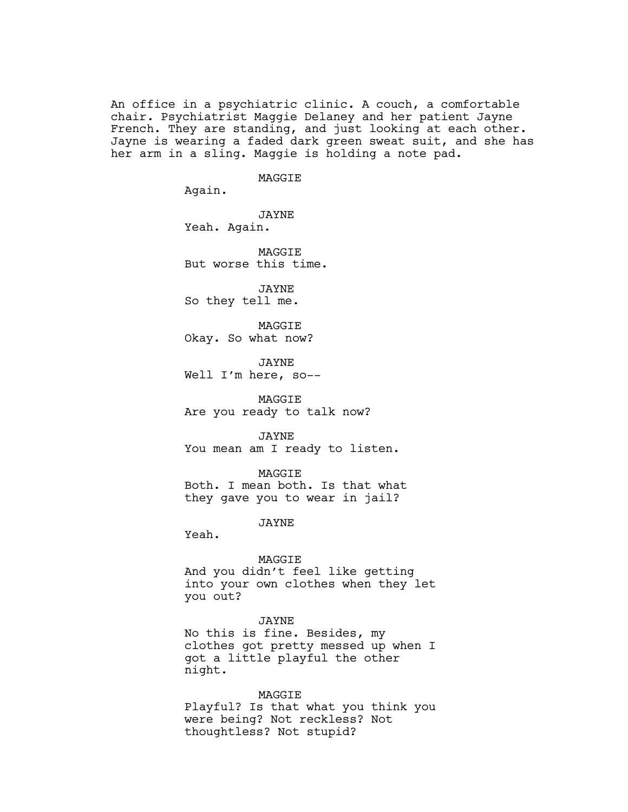An office in a psychiatric clinic. A couch, a comfortable chair. Psychiatrist Maggie Delaney and her patient Jayne French. They are standing, and just looking at each other. Jayne is wearing a faded dark green sweat suit, and she has her arm in a sling. Maggie is holding a note pad.

MAGGIE

JAYNE

Again.

Yeah. Again.

MAGGIE But worse this time. JAYNE So they tell me. MAGGIE Okay. So what now? JAYNE Well I'm here, so-- MAGGIE Are you ready to talk now? JAYNE You mean am I ready to listen. MAGGIE Both. I mean both. Is that what they gave you to wear in jail?

JAYNE

Yeah.

### MAGGIE

And you didn't feel like getting into your own clothes when they let you out?

### JAYNE

No this is fine. Besides, my clothes got pretty messed up when I got a little playful the other night.

#### MAGGIE

Playful? Is that what you think you were being? Not reckless? Not thoughtless? Not stupid?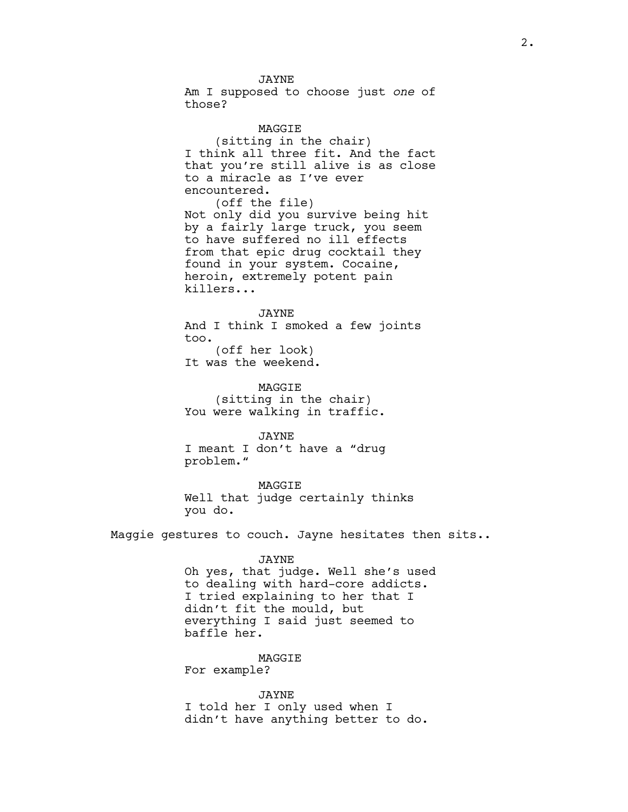JAYNE Am I supposed to choose just one of those?

MAGGIE (sitting in the chair) I think all three fit. And the fact that you're still alive is as close to a miracle as I've ever encountered. (off the file)

Not only did you survive being hit by a fairly large truck, you seem to have suffered no ill effects from that epic drug cocktail they found in your system. Cocaine, heroin, extremely potent pain killers...

### JAYNE

And I think I smoked a few joints too. (off her look) It was the weekend.

MAGGIE (sitting in the chair) You were walking in traffic.

JAYNE

I meant I don't have a "drug problem."

MAGGIE

Well that judge certainly thinks you do.

Maggie gestures to couch. Jayne hesitates then sits..

#### JAYNE

Oh yes, that judge. Well she's used to dealing with hard-core addicts. I tried explaining to her that I didn't fit the mould, but everything I said just seemed to baffle her.

MAGGIE

For example?

JAYNE

I told her I only used when I didn't have anything better to do.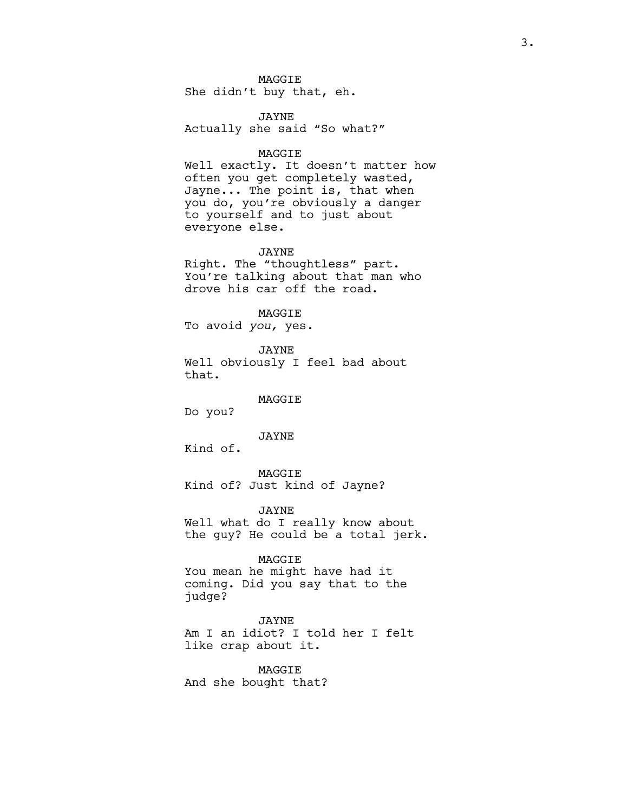MAGGIE She didn't buy that, eh.

JAYNE Actually she said "So what?"

#### MAGGIE

Well exactly. It doesn't matter how often you get completely wasted, Jayne... The point is, that when you do, you're obviously a danger to yourself and to just about everyone else.

#### JAYNE

Right. The "thoughtless" part. You're talking about that man who drove his car off the road.

MAGGIE

To avoid you, yes.

JAYNE Well obviously I feel bad about that.

MAGGIE

Do you?

JAYNE

Kind of.

MAGGIE Kind of? Just kind of Jayne?

JAYNE

Well what do I really know about the guy? He could be a total jerk.

### MAGGIE

You mean he might have had it coming. Did you say that to the judge?

### JAYNE

Am I an idiot? I told her I felt like crap about it.

MAGGIE And she bought that?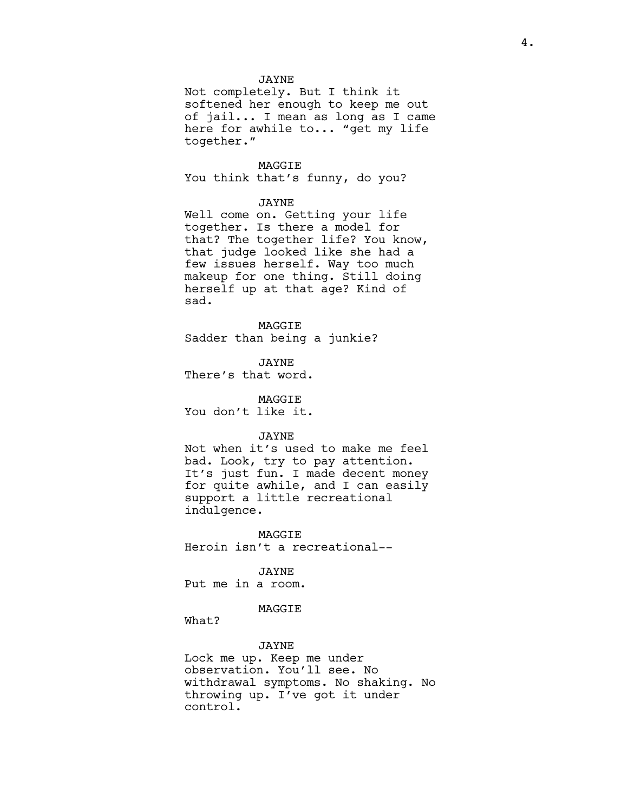Not completely. But I think it softened her enough to keep me out of jail... I mean as long as I came here for awhile to... "get my life together."

#### MAGGIE

You think that's funny, do you?

### JAYNE

Well come on. Getting your life together. Is there a model for that? The together life? You know, that judge looked like she had a few issues herself. Way too much makeup for one thing. Still doing herself up at that age? Kind of sad.

MAGGIE Sadder than being a junkie?

JAYNE There's that word.

MAGGIE

You don't like it.

#### JAYNE

Not when it's used to make me feel bad. Look, try to pay attention. It's just fun. I made decent money for quite awhile, and I can easily support a little recreational indulgence.

MAGGIE Heroin isn't a recreational--

#### JAYNE

Put me in a room.

### MAGGIE

What?

#### JAYNE

Lock me up. Keep me under observation. You'll see. No withdrawal symptoms. No shaking. No throwing up. I've got it under control.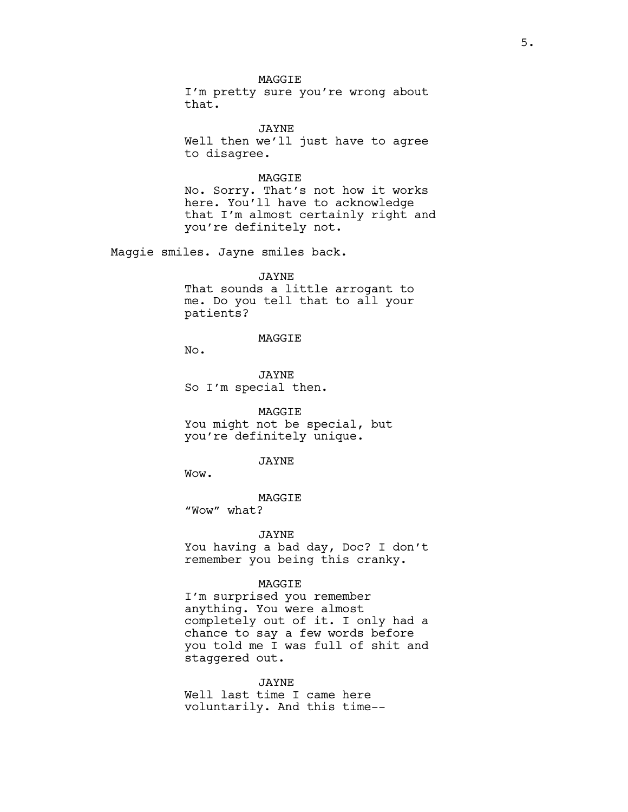MAGGIE

I'm pretty sure you're wrong about that.

JAYNE Well then we'll just have to agree to disagree.

### MAGGIE

No. Sorry. That's not how it works here. You'll have to acknowledge that I'm almost certainly right and you're definitely not.

Maggie smiles. Jayne smiles back.

### JAYNE

That sounds a little arrogant to me. Do you tell that to all your patients?

### MAGGIE

No.

JAYNE So I'm special then.

MAGGIE You might not be special, but you're definitely unique.

### JAYNE

Wow.

### MAGGIE

"Wow" what?

JAYNE You having a bad day, Doc? I don't remember you being this cranky.

MAGGIE I'm surprised you remember anything. You were almost completely out of it. I only had a chance to say a few words before you told me I was full of shit and staggered out.

JAYNE Well last time I came here voluntarily. And this time--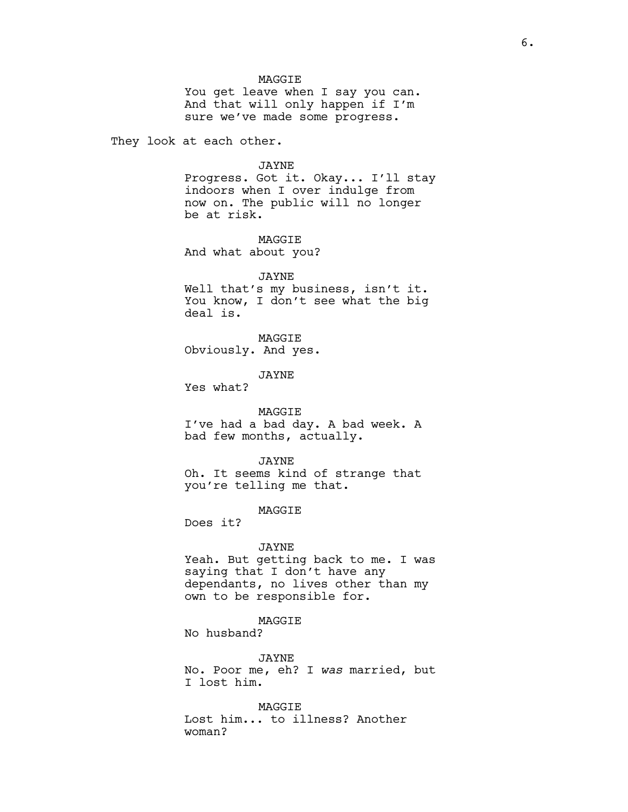### MAGGIE

You get leave when I say you can. And that will only happen if I'm sure we've made some progress.

They look at each other.

#### JAYNE

Progress. Got it. Okay... I'll stay indoors when I over indulge from now on. The public will no longer be at risk.

**MAGGTE** And what about you?

### JAYNE

Well that's my business, isn't it. You know, I don't see what the big deal is.

MAGGIE Obviously. And yes.

JAYNE

Yes what?

### MAGGIE

I've had a bad day. A bad week. A bad few months, actually.

### JAYNE

Oh. It seems kind of strange that you're telling me that.

**MAGGIE** 

Does it?

#### JAYNE

Yeah. But getting back to me. I was saying that I don't have any dependants, no lives other than my own to be responsible for.

### MAGGIE

No husband?

#### JAYNE

No. Poor me, eh? I was married, but I lost him.

**MAGGTE** Lost him... to illness? Another woman?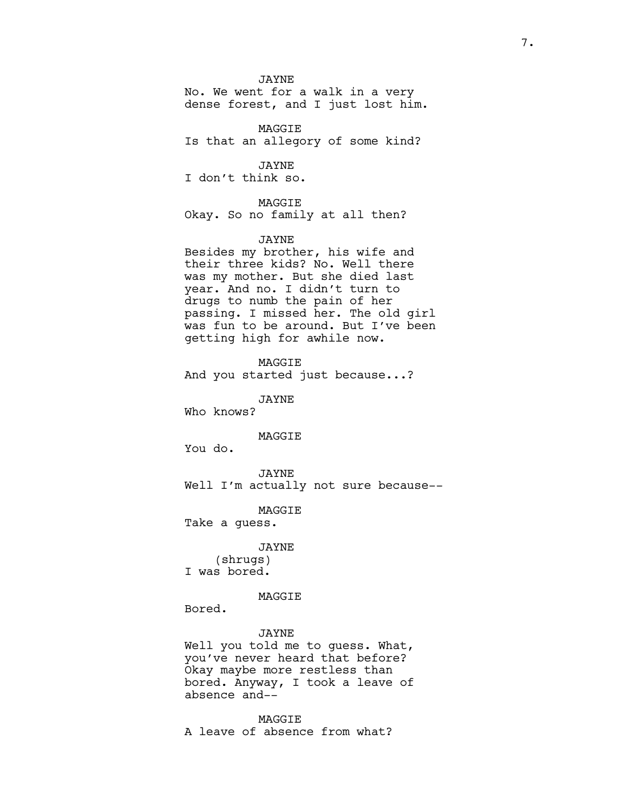No. We went for a walk in a very dense forest, and I just lost him.

MAGGIE Is that an allegory of some kind?

JAYNE I don't think so.

MAGGIE Okay. So no family at all then?

JAYNE Besides my brother, his wife and their three kids? No. Well there was my mother. But she died last year. And no. I didn't turn to drugs to numb the pain of her passing. I missed her. The old girl was fun to be around. But I've been getting high for awhile now.

MAGGIE And you started just because...?

JAYNE

Who knows?

MAGGIE

You do.

JAYNE Well I'm actually not sure because--

MAGGIE

Take a guess.

JAYNE

(shrugs) I was bored.

**MAGGTE** 

Bored.

JAYNE Well you told me to guess. What, you've never heard that before? Okay maybe more restless than bored. Anyway, I took a leave of absence and--

MAGGIE A leave of absence from what?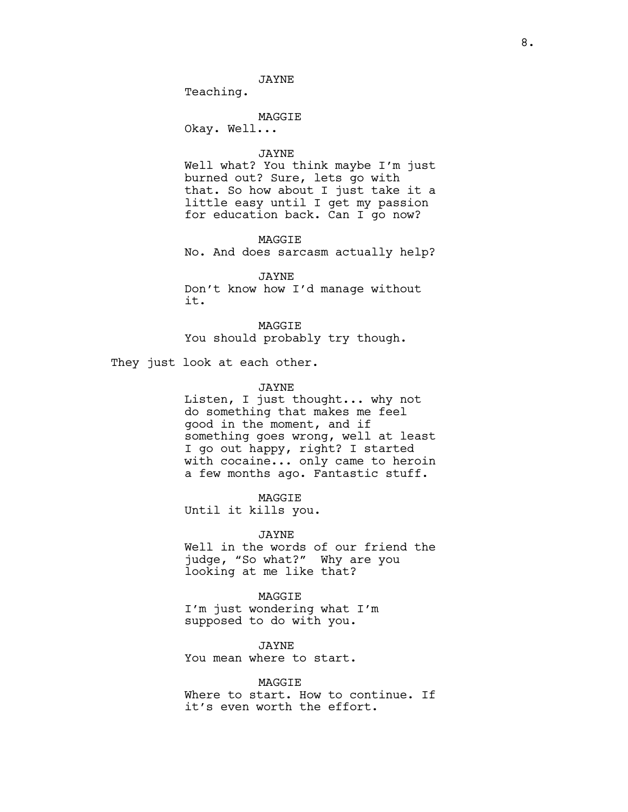Teaching.

MAGGIE

Okay. Well...

#### JAYNE

Well what? You think maybe I'm just burned out? Sure, lets go with that. So how about I just take it a little easy until I get my passion for education back. Can I go now?

MAGGIE No. And does sarcasm actually help?

JAYNE Don't know how I'd manage without it.

MAGGIE You should probably try though.

They just look at each other.

#### JAYNE

Listen, I just thought... why not do something that makes me feel good in the moment, and if something goes wrong, well at least I go out happy, right? I started with cocaine... only came to heroin a few months ago. Fantastic stuff.

MAGGIE

Until it kills you.

JAYNE

Well in the words of our friend the judge, "So what?" Why are you looking at me like that?

MAGGIE I'm just wondering what I'm

supposed to do with you.

JAYNE You mean where to start.

MAGGIE Where to start. How to continue. If it's even worth the effort.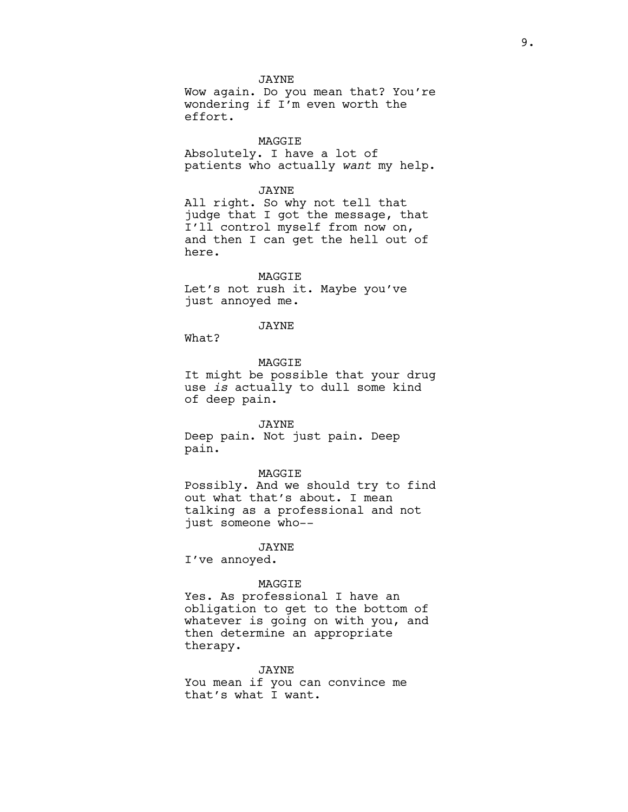JAYNE Wow again. Do you mean that? You're wondering if I'm even worth the effort.

#### MAGGIE

Absolutely. I have a lot of patients who actually want my help.

#### JAYNE

All right. So why not tell that judge that I got the message, that I'll control myself from now on, and then I can get the hell out of here.

### MAGGIE

Let's not rush it. Maybe you've just annoyed me.

### JAYNE

What?

MAGGIE

It might be possible that your drug use is actually to dull some kind of deep pain.

#### JAYNE

Deep pain. Not just pain. Deep pain.

#### MAGGIE

Possibly. And we should try to find out what that's about. I mean talking as a professional and not just someone who--

### JAYNE

I've annoyed.

### MAGGIE

Yes. As professional I have an obligation to get to the bottom of whatever is going on with you, and then determine an appropriate therapy.

### JAYNE

You mean if you can convince me that's what I want.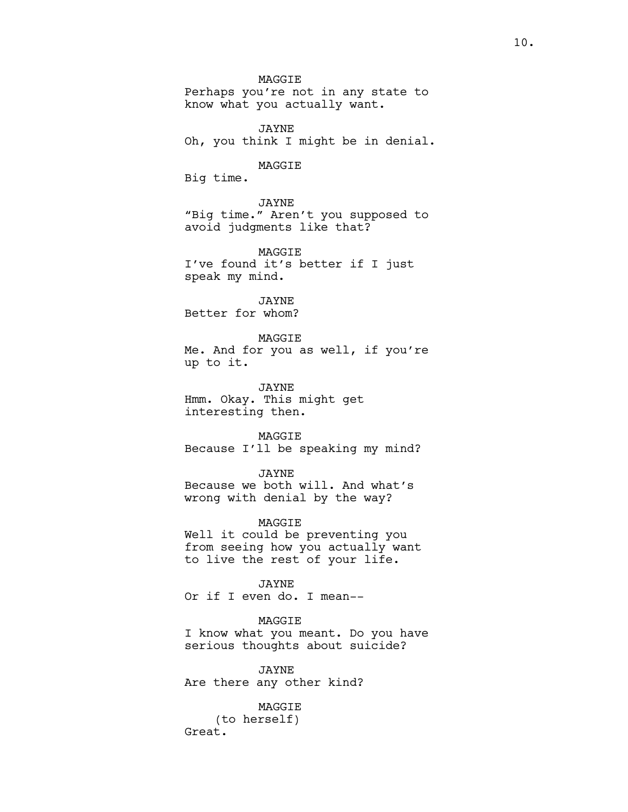MAGGIE

Perhaps you're not in any state to know what you actually want.

JAYNE Oh, you think I might be in denial.

### MAGGIE

Big time.

### JAYNE

"Big time." Aren't you supposed to avoid judgments like that?

MAGGIE

I've found it's better if I just speak my mind.

JAYNE Better for whom?

### MAGGIE

Me. And for you as well, if you're up to it.

JAYNE Hmm. Okay. This might get interesting then.

MAGGIE Because I'll be speaking my mind?

### JAYNE

Because we both will. And what's wrong with denial by the way?

MAGGIE

Well it could be preventing you from seeing how you actually want to live the rest of your life.

JAYNE Or if I even do. I mean--

### MAGGIE

I know what you meant. Do you have serious thoughts about suicide?

JAYNE Are there any other kind?

MAGGIE (to herself) Great.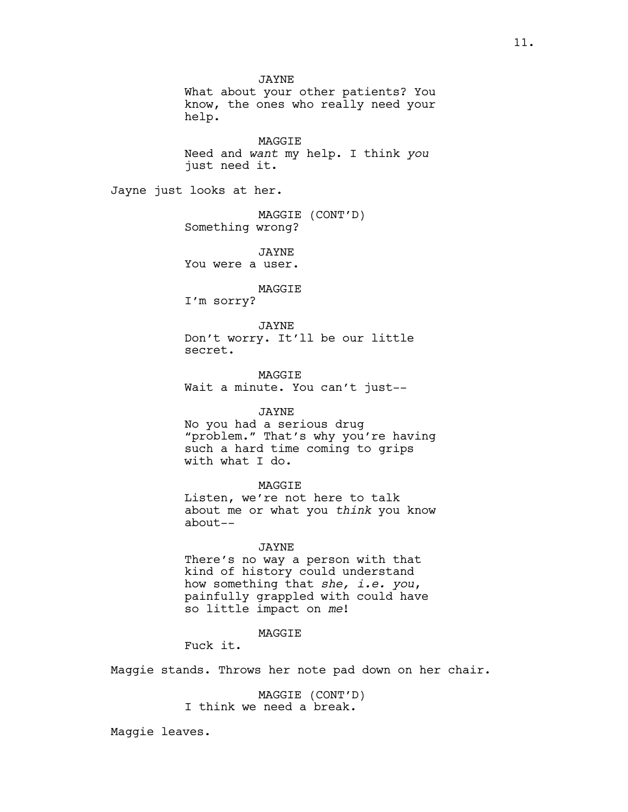JAYNE What about your other patients? You know, the ones who really need your help. MAGGIE Need and want my help. I think you just need it. Jayne just looks at her. MAGGIE (CONT'D) Something wrong? JAYNE You were a user. MAGGIE I'm sorry? JAYNE Don't worry. It'll be our little secret. **MAGGTE** Wait a minute. You can't just-- JAYNE No you had a serious drug "problem." That's why you're having such a hard time coming to grips with what I do. MAGGIE Listen, we're not here to talk about me or what you think you know about-- JAYNE There's no way a person with that kind of history could understand how something that she, i.e. you, painfully grappled with could have so little impact on me! MAGGIE Fuck it. Maggie stands. Throws her note pad down on her chair. MAGGIE (CONT'D) I think we need a break.

Maggie leaves.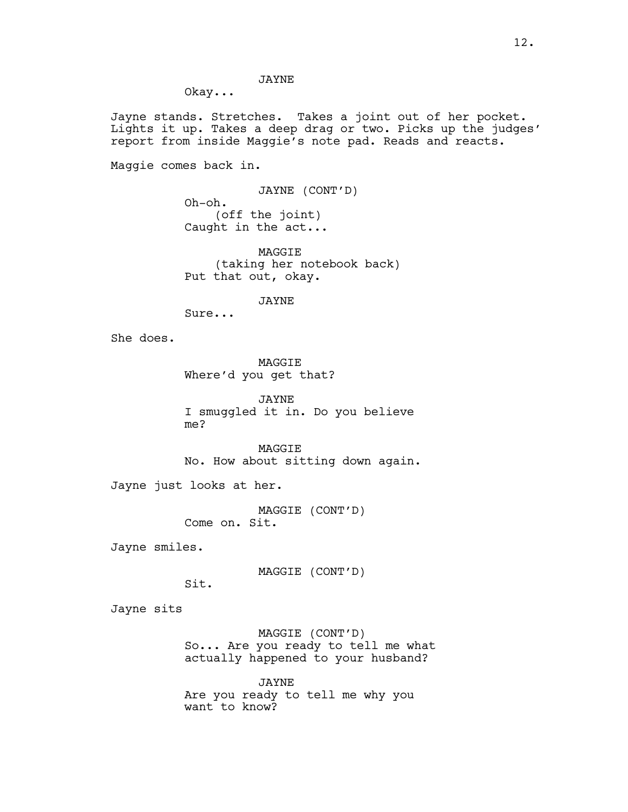Okay...

Jayne stands. Stretches. Takes a joint out of her pocket. Lights it up. Takes a deep drag or two. Picks up the judges' report from inside Maggie's note pad. Reads and reacts.

Maggie comes back in.

JAYNE (CONT'D) Oh-oh. (off the joint) Caught in the act...

MAGGIE (taking her notebook back) Put that out, okay.

JAYNE

Sure...

She does.

MAGGIE Where'd you get that?

JAYNE I smuggled it in. Do you believe me?

MAGGIE No. How about sitting down again.

Jayne just looks at her.

MAGGIE (CONT'D) Come on. Sit.

Jayne smiles.

MAGGIE (CONT'D)

Sit.

Jayne sits

MAGGIE (CONT'D) So... Are you ready to tell me what actually happened to your husband?

JAYNE Are you ready to tell me why you want to know?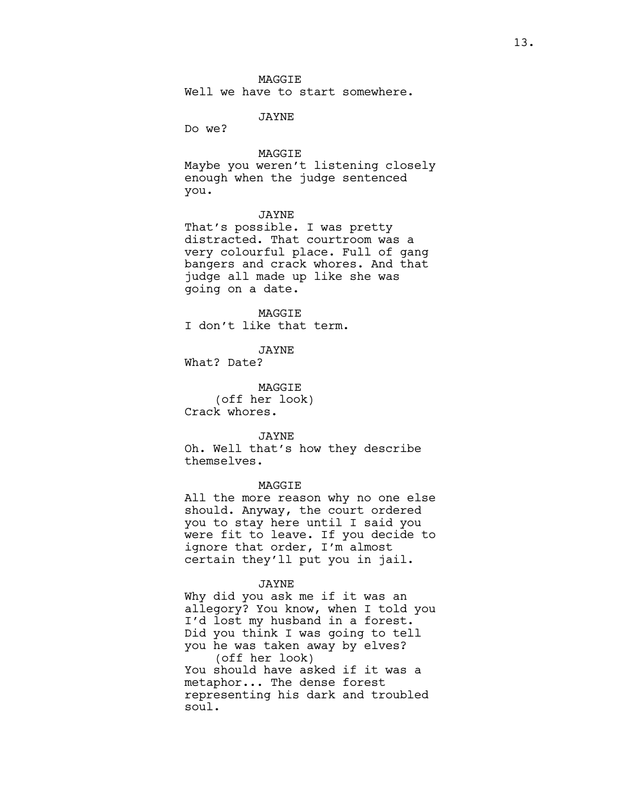Do we?

MAGGIE Maybe you weren't listening closely enough when the judge sentenced you.

#### JAYNE

That's possible. I was pretty distracted. That courtroom was a very colourful place. Full of gang bangers and crack whores. And that judge all made up like she was going on a date.

MAGGIE I don't like that term.

JAYNE

What? Date?

MAGGIE (off her look) Crack whores.

JAYNE

Oh. Well that's how they describe themselves.

### MAGGIE

All the more reason why no one else should. Anyway, the court ordered you to stay here until I said you were fit to leave. If you decide to ignore that order, I'm almost certain they'll put you in jail.

### JAYNE

Why did you ask me if it was an allegory? You know, when I told you I'd lost my husband in a forest. Did you think I was going to tell you he was taken away by elves? (off her look) You should have asked if it was a metaphor... The dense forest representing his dark and troubled soul.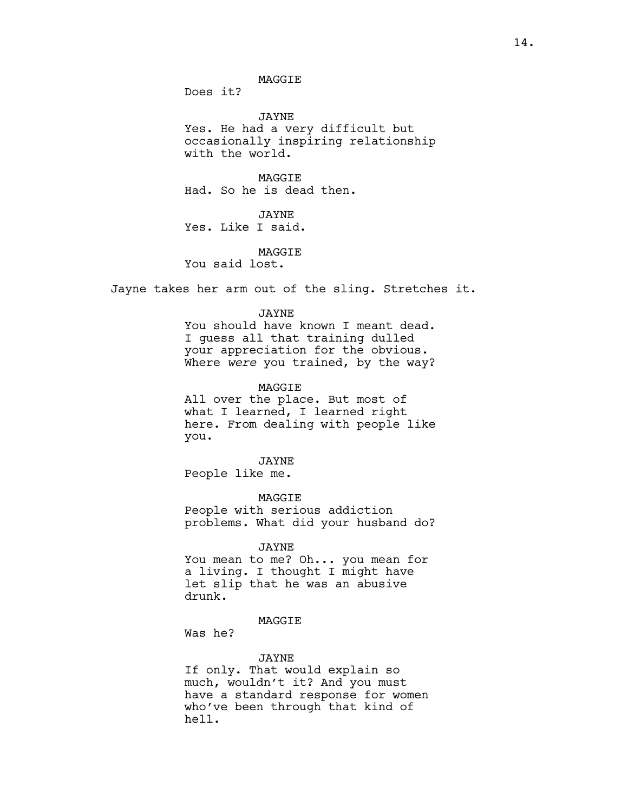MAGGIE

Does it?

JAYNE Yes. He had a very difficult but occasionally inspiring relationship with the world.

**MAGGTE** Had. So he is dead then.

JAYNE Yes. Like I said.

**MAGGTE** 

You said lost.

Jayne takes her arm out of the sling. Stretches it.

### JAYNE

You should have known I meant dead. I guess all that training dulled your appreciation for the obvious. Where were you trained, by the way?

MAGGIE

All over the place. But most of what I learned, I learned right here. From dealing with people like you.

JAYNE

People like me.

MAGGIE People with serious addiction problems. What did your husband do?

### JAYNE

You mean to me? Oh... you mean for a living. I thought I might have let slip that he was an abusive drunk.

### MAGGIE

Was he?

### JAYNE

If only. That would explain so much, wouldn't it? And you must have a standard response for women who've been through that kind of hell.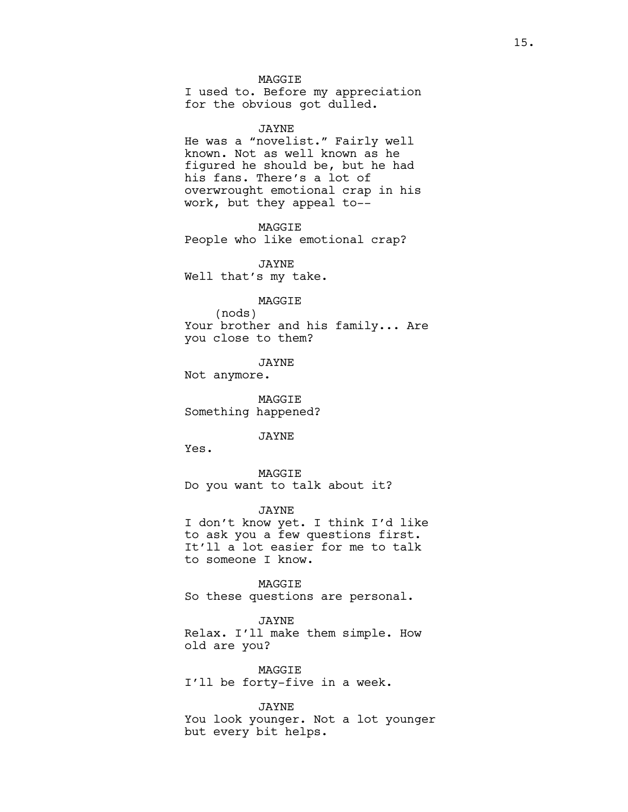MAGGIE I used to. Before my appreciation for the obvious got dulled.

# JAYNE

He was a "novelist." Fairly well known. Not as well known as he figured he should be, but he had his fans. There's a lot of overwrought emotional crap in his work, but they appeal to--

MAGGIE

People who like emotional crap?

JAYNE Well that's my take.

### MAGGIE

(nods) Your brother and his family... Are you close to them?

JAYNE

Not anymore.

MAGGIE Something happened?

JAYNE

Yes.

MAGGIE Do you want to talk about it?

JAYNE I don't know yet. I think I'd like to ask you a few questions first. It'll a lot easier for me to talk to someone I know.

MAGGIE So these questions are personal.

JAYNE Relax. I'll make them simple. How old are you?

MAGGIE I'll be forty-five in a week.

JAYNE You look younger. Not a lot younger but every bit helps.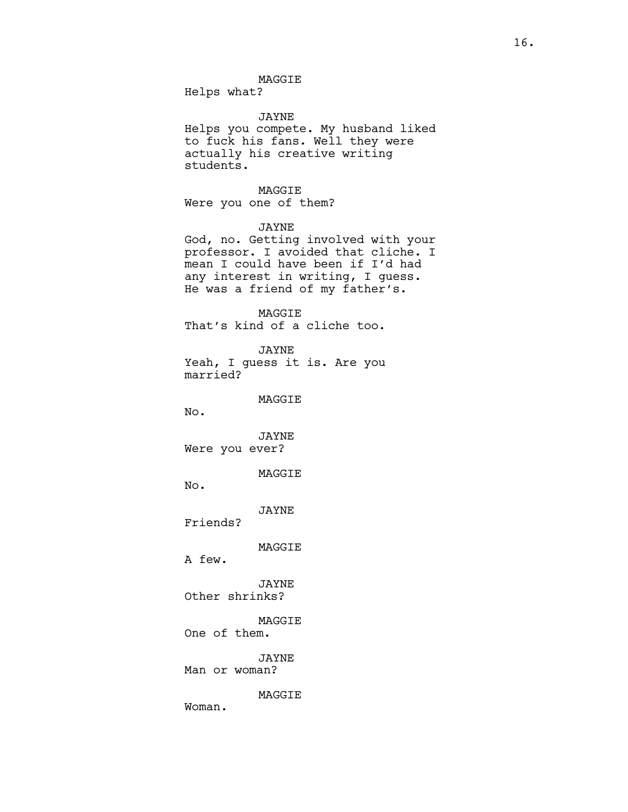Helps what?

### JAYNE

Helps you compete. My husband liked to fuck his fans. Well they were actually his creative writing students.

# MAGGIE

Were you one of them?

## JAYNE

God, no. Getting involved with your professor. I avoided that cliche. I mean I could have been if I'd had any interest in writing, I guess. He was a friend of my father's.

### MAGGIE That's kind of a cliche too.

JAYNE Yeah, I guess it is. Are you married?

#### MAGGIE

No.

### JAYNE Were you ever?

MAGGIE

No.

JAYNE

# Friends?

MAGGIE

A few.

### JAYNE Other shrinks?

MAGGIE One of them.

JAYNE Man or woman?

MAGGIE

Woman.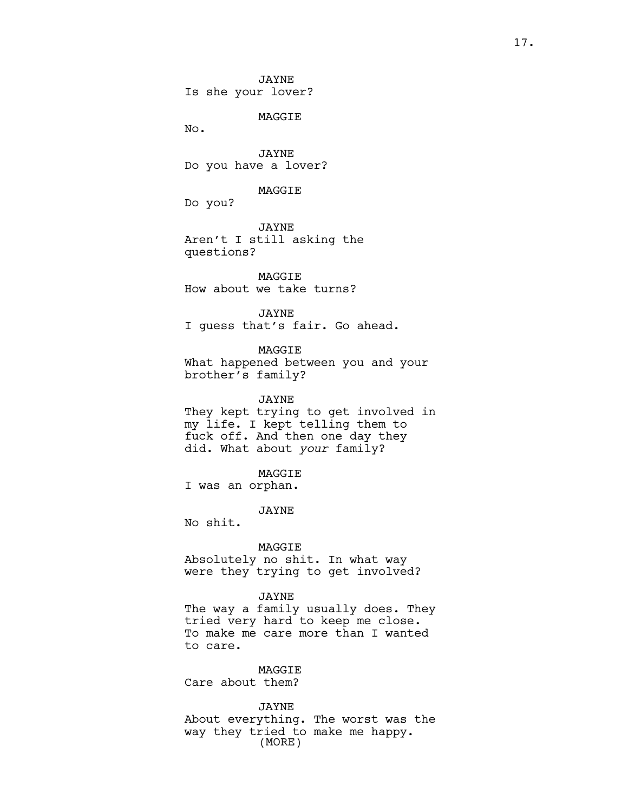JAYNE Is she your lover?

MAGGIE

No.

JAYNE Do you have a lover?

MAGGIE

Do you?

JAYNE Aren't I still asking the questions?

MAGGIE How about we take turns?

JAYNE I guess that's fair. Go ahead.

MAGGIE What happened between you and your brother's family?

JAYNE They kept trying to get involved in my life. I kept telling them to fuck off. And then one day they did. What about your family?

MAGGIE I was an orphan.

JAYNE

No shit.

### MAGGIE

Absolutely no shit. In what way were they trying to get involved?

### JAYNE

The way a family usually does. They tried very hard to keep me close. To make me care more than I wanted to care.

MAGGIE

Care about them?

JAYNE About everything. The worst was the

way they tried to make me happy. (MORE)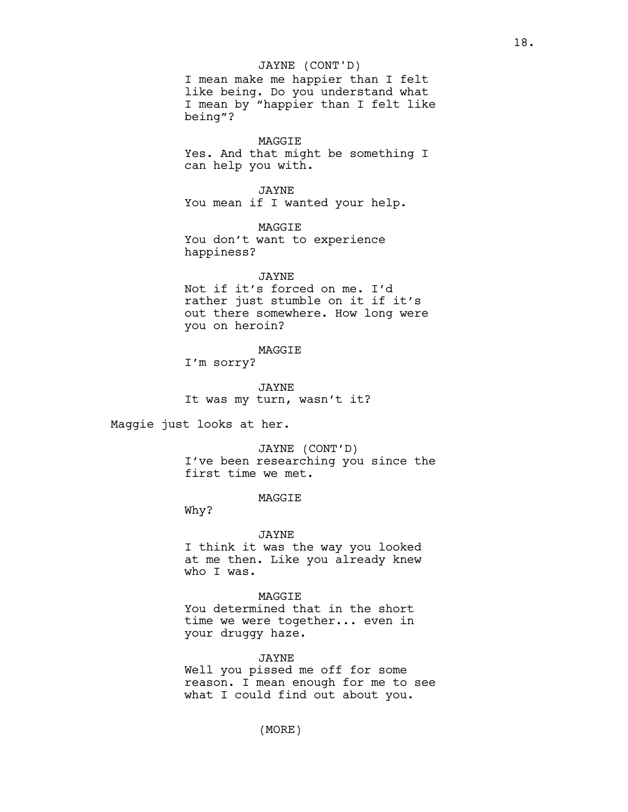I mean make me happier than I felt like being. Do you understand what I mean by "happier than I felt like being"?

MAGGIE Yes. And that might be something I can help you with.

JAYNE You mean if I wanted your help.

MAGGIE You don't want to experience happiness?

### JAYNE

Not if it's forced on me. I'd rather just stumble on it if it's out there somewhere. How long were you on heroin?

### MAGGIE

I'm sorry?

JAYNE It was my turn, wasn't it?

Maggie just looks at her.

JAYNE (CONT'D) I've been researching you since the first time we met.

### MAGGIE

Why?

JAYNE I think it was the way you looked at me then. Like you already knew who I was.

**MAGGTE** You determined that in the short time we were together... even in your druggy haze.

JAYNE

Well you pissed me off for some reason. I mean enough for me to see what I could find out about you.

(MORE)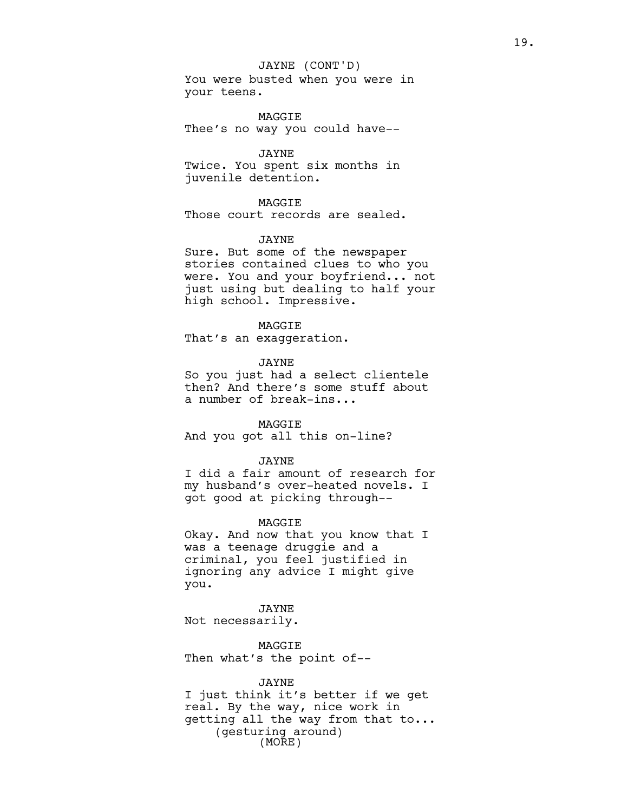You were busted when you were in your teens.

MAGGIE Thee's no way you could have--

JAYNE

Twice. You spent six months in juvenile detention.

MAGGIE Those court records are sealed.

JAYNE

Sure. But some of the newspaper stories contained clues to who you were. You and your boyfriend... not just using but dealing to half your high school. Impressive.

**MAGGTE** 

That's an exaggeration.

JAYNE

So you just had a select clientele then? And there's some stuff about a number of break-ins...

#### MAGGIE

And you got all this on-line?

### JAYNE

I did a fair amount of research for my husband's over-heated novels. I got good at picking through--

#### MAGGIE

Okay. And now that you know that I was a teenage druggie and a criminal, you feel justified in ignoring any advice I might give you.

JAYNE Not necessarily.

MAGGIE Then what's the point of--

JAYNE I just think it's better if we get real. By the way, nice work in getting all the way from that to... (gesturing around) (MORE)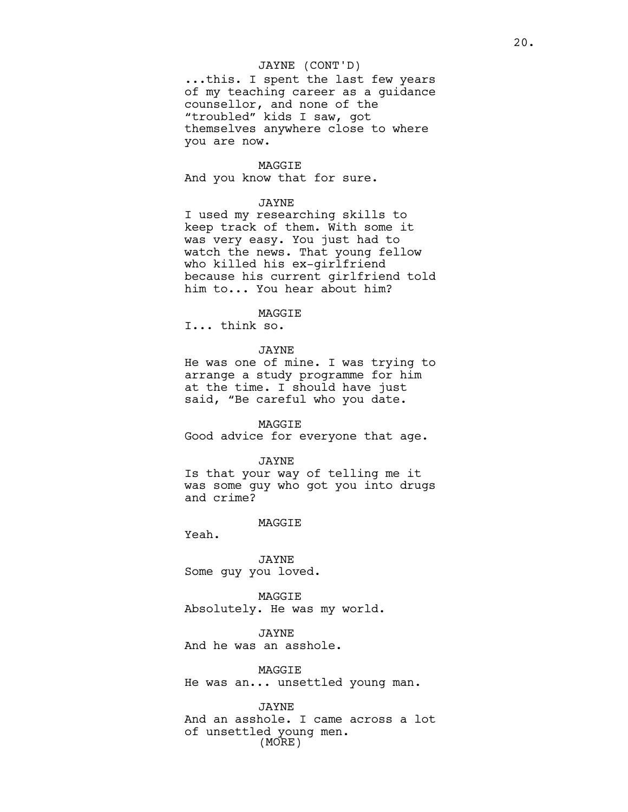...this. I spent the last few years of my teaching career as a guidance counsellor, and none of the "troubled" kids I saw, got themselves anywhere close to where you are now.

#### MAGGIE

And you know that for sure.

#### JAYNE

I used my researching skills to keep track of them. With some it was very easy. You just had to watch the news. That young fellow who killed his ex-girlfriend because his current girlfriend told him to... You hear about him?

### MAGGIE

I... think so.

### JAYNE

He was one of mine. I was trying to arrange a study programme for him at the time. I should have just said, "Be careful who you date.

#### MAGGIE

Good advice for everyone that age.

#### JAYNE

Is that your way of telling me it was some guy who got you into drugs and crime?

#### MAGGIE

Yeah.

JAYNE Some guy you loved.

MAGGIE Absolutely. He was my world.

JAYNE And he was an asshole.

MAGGIE He was an... unsettled young man.

JAYNE And an asshole. I came across a lot of unsettled young men. (MORE)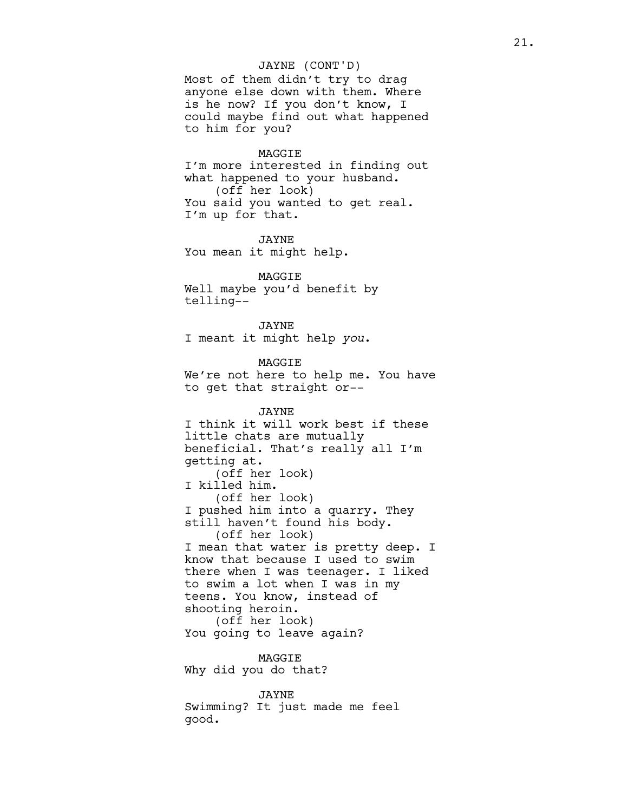Most of them didn't try to drag anyone else down with them. Where is he now? If you don't know, I could maybe find out what happened to him for you?

#### MAGGIE

I'm more interested in finding out what happened to your husband. (off her look) You said you wanted to get real. I'm up for that.

JAYNE You mean it might help.

### MAGGIE

Well maybe you'd benefit by telling--

JAYNE I meant it might help you.

MAGGIE We're not here to help me. You have to get that straight or--

# JAYNE

I think it will work best if these little chats are mutually beneficial. That's really all I'm getting at. (off her look) I killed him. (off her look) I pushed him into a quarry. They still haven't found his body. (off her look) I mean that water is pretty deep. I know that because I used to swim there when I was teenager. I liked to swim a lot when I was in my teens. You know, instead of shooting heroin. (off her look) You going to leave again?

MAGGIE Why did you do that?

JAYNE Swimming? It just made me feel good.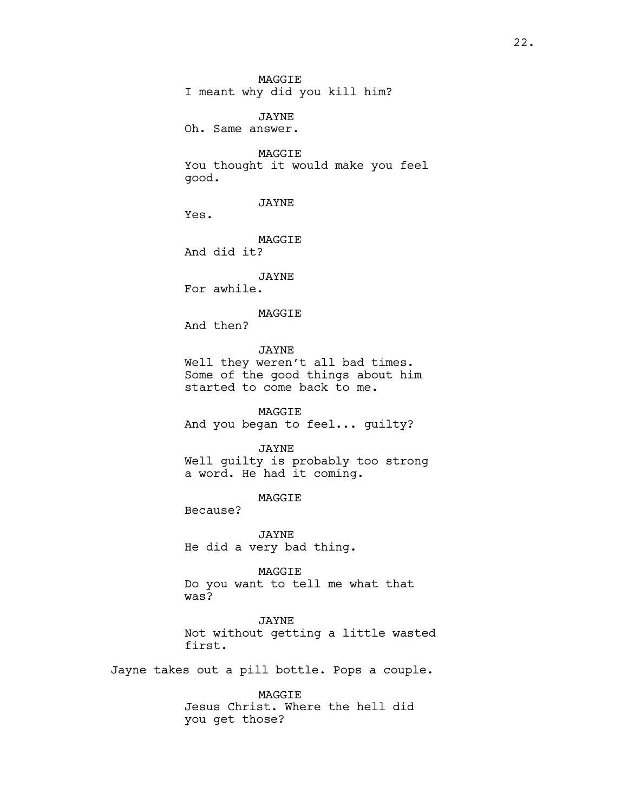MAGGIE I meant why did you kill him?

JAYNE Oh. Same answer.

MAGGIE You thought it would make you feel good.

JAYNE

Yes.

MAGGIE And did it?

JAYNE

For awhile.

MAGGIE

And then?

JAYNE

Well they weren't all bad times. Some of the good things about him started to come back to me.

MAGGIE And you began to feel... guilty?

JAYNE Well guilty is probably too strong a word. He had it coming.

MAGGIE

Because?

JAYNE He did a very bad thing.

MAGGIE

Do you want to tell me what that was?

JAYNE

Not without getting a little wasted first.

Jayne takes out a pill bottle. Pops a couple.

MAGGIE Jesus Christ. Where the hell did you get those?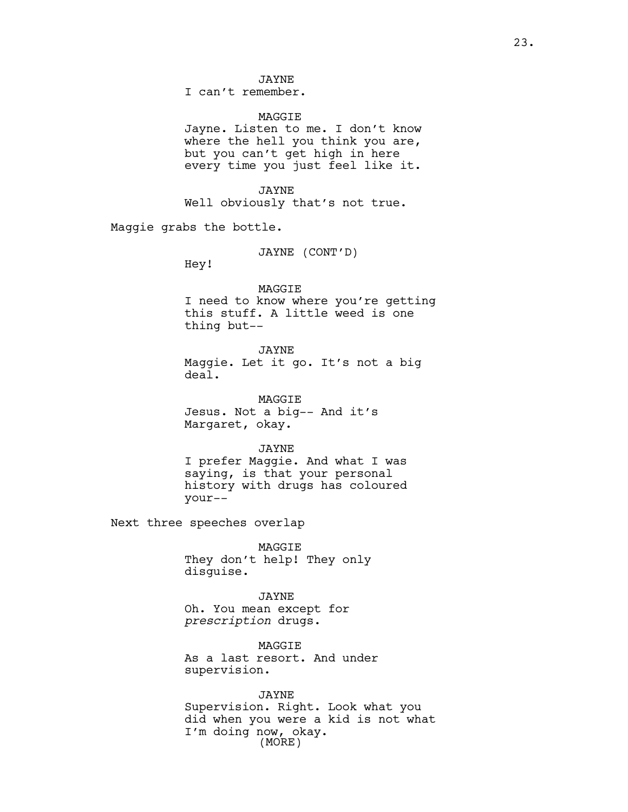I can't remember.

MAGGIE

Jayne. Listen to me. I don't know where the hell you think you are, but you can't get high in here every time you just feel like it.

JAYNE Well obviously that's not true.

Maggie grabs the bottle.

JAYNE (CONT'D)

Hey!

MAGGIE I need to know where you're getting this stuff. A little weed is one thing but--

JAYNE

Maggie. Let it go. It's not a big deal.

MAGGIE Jesus. Not a big-- And it's Margaret, okay.

JAYNE

I prefer Maggie. And what I was saying, is that your personal history with drugs has coloured your--

Next three speeches overlap

MAGGIE They don't help! They only disguise.

JAYNE Oh. You mean except for prescription drugs.

**MAGGTE** As a last resort. And under supervision.

JAYNE Supervision. Right. Look what you did when you were a kid is not what I'm doing now, okay. (MORE)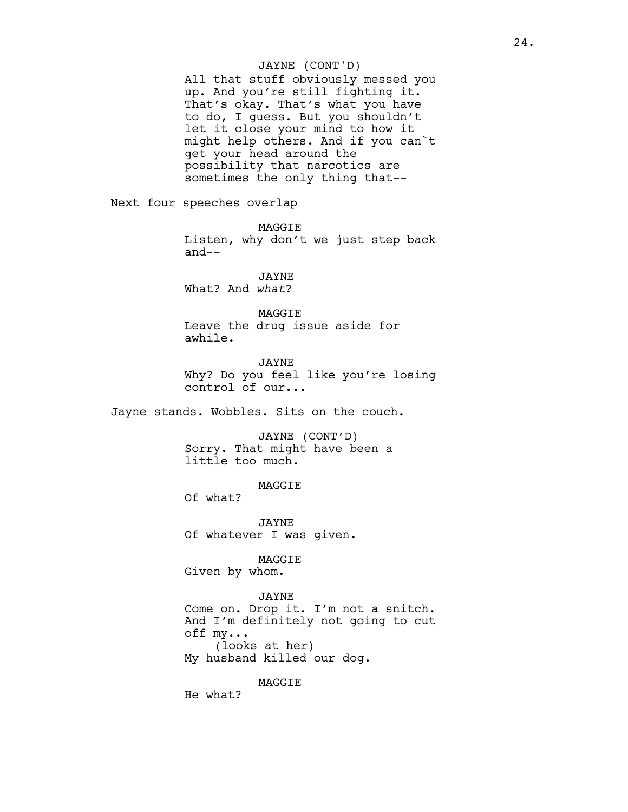All that stuff obviously messed you up. And you're still fighting it. That's okay. That's what you have to do, I guess. But you shouldn't let it close your mind to how it might help others. And if you can`t get your head around the possibility that narcotics are sometimes the only thing that--

Next four speeches overlap

MAGGIE Listen, why don't we just step back and--

JAYNE What? And what?

### MAGGIE

Leave the drug issue aside for awhile.

JAYNE Why? Do you feel like you're losing control of our...

Jayne stands. Wobbles. Sits on the couch.

JAYNE (CONT'D) Sorry. That might have been a little too much.

MAGGIE

Of what?

JAYNE Of whatever I was given.

MAGGIE Given by whom.

JAYNE Come on. Drop it. I'm not a snitch. And I'm definitely not going to cut off my... (looks at her) My husband killed our dog.

MAGGIE

He what?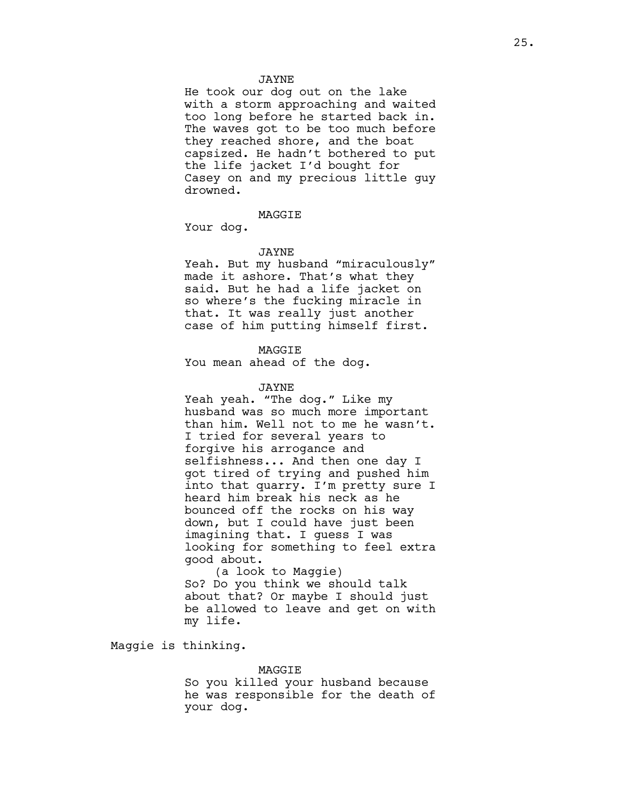He took our dog out on the lake with a storm approaching and waited too long before he started back in. The waves got to be too much before they reached shore, and the boat capsized. He hadn't bothered to put the life jacket I'd bought for Casey on and my precious little guy drowned.

### MAGGIE

Your dog.

#### JAYNE

Yeah. But my husband "miraculously" made it ashore. That's what they said. But he had a life jacket on so where's the fucking miracle in that. It was really just another case of him putting himself first.

### **MAGGTE**

You mean ahead of the dog.

#### JAYNE

Yeah yeah. "The dog." Like my husband was so much more important than him. Well not to me he wasn't. I tried for several years to forgive his arrogance and selfishness... And then one day I got tired of trying and pushed him into that quarry. I'm pretty sure I heard him break his neck as he bounced off the rocks on his way down, but I could have just been imagining that. I guess I was looking for something to feel extra good about.

(a look to Maggie) So? Do you think we should talk about that? Or maybe I should just be allowed to leave and get on with my life.

Maggie is thinking.

### MAGGIE

So you killed your husband because he was responsible for the death of your dog.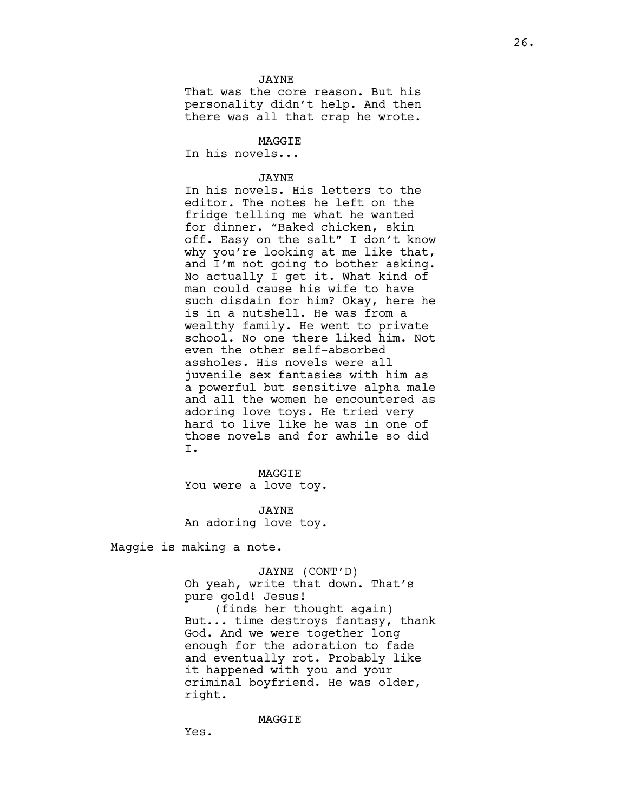That was the core reason. But his personality didn't help. And then there was all that crap he wrote.

MAGGIE

In his novels...

### JAYNE

In his novels. His letters to the editor. The notes he left on the fridge telling me what he wanted for dinner. "Baked chicken, skin off. Easy on the salt" I don't know why you're looking at me like that, and I'm not going to bother asking. No actually I get it. What kind of man could cause his wife to have such disdain for him? Okay, here he is in a nutshell. He was from a wealthy family. He went to private school. No one there liked him. Not even the other self-absorbed assholes. His novels were all juvenile sex fantasies with him as a powerful but sensitive alpha male and all the women he encountered as adoring love toys. He tried very hard to live like he was in one of those novels and for awhile so did I.

MAGGIE You were a love toy.

JAYNE An adoring love toy.

Maggie is making a note.

JAYNE (CONT'D)

Oh yeah, write that down. That's pure gold! Jesus! (finds her thought again) But... time destroys fantasy, thank God. And we were together long enough for the adoration to fade and eventually rot. Probably like it happened with you and your criminal boyfriend. He was older, right.

MAGGIE

Yes.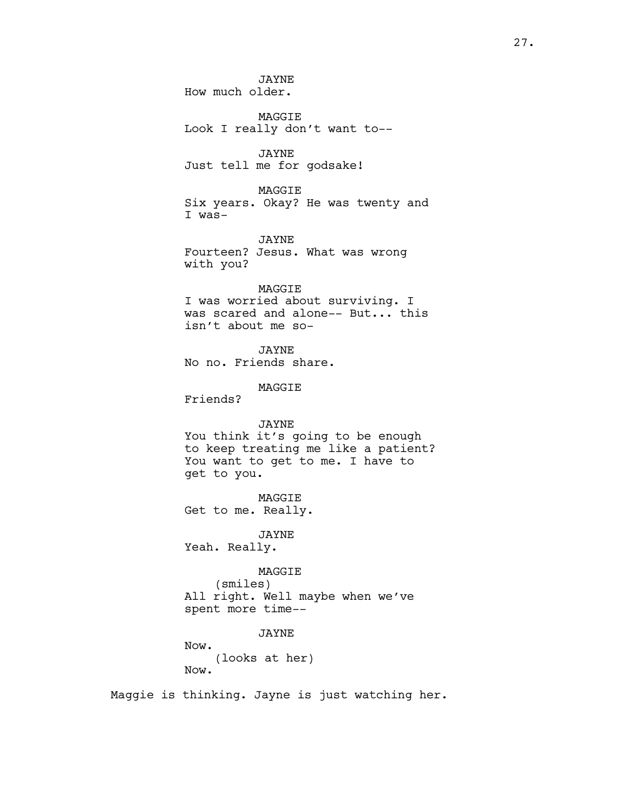JAYNE How much older.

MAGGIE Look I really don't want to--

JAYNE Just tell me for godsake!

MAGGIE Six years. Okay? He was twenty and I was-

JAYNE Fourteen? Jesus. What was wrong with you?

### MAGGIE I was worried about surviving. I was scared and alone-- But... this isn't about me so-

JAYNE No no. Friends share.

MAGGIE

Friends?

### JAYNE

You think it's going to be enough to keep treating me like a patient? You want to get to me. I have to get to you.

MAGGIE Get to me. Really.

JAYNE Yeah. Really.

MAGGIE

(smiles) All right. Well maybe when we've spent more time--

### JAYNE

Now. (looks at her) Now.

Maggie is thinking. Jayne is just watching her.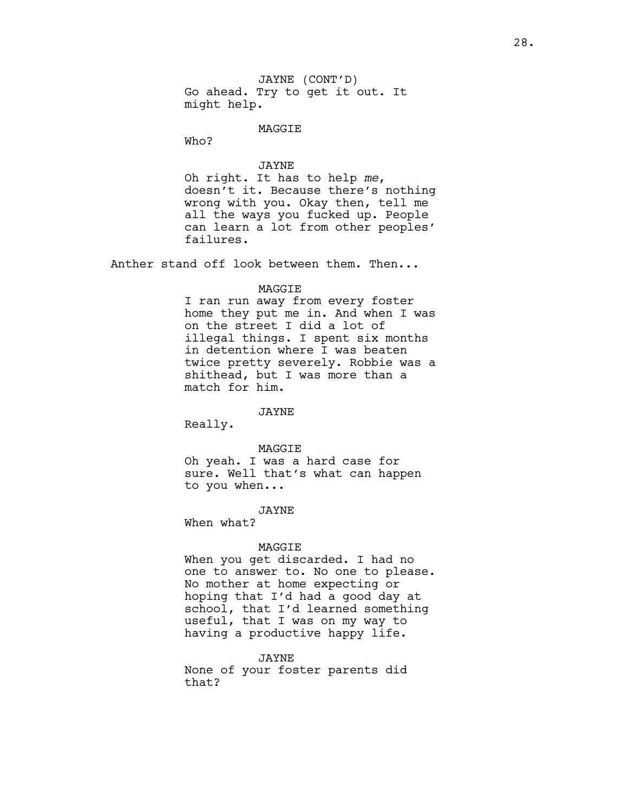JAYNE (CONT'D) Go ahead. Try to get it out. It might help.

#### MAGGIE

Who?

### JAYNE

Oh right. It has to help me, doesn't it. Because there's nothing wrong with you. Okay then, tell me all the ways you fucked up. People can learn a lot from other peoples' failures.

Anther stand off look between them. Then...

#### MAGGIE

I ran run away from every foster home they put me in. And when I was on the street I did a lot of illegal things. I spent six months in detention where I was beaten twice pretty severely. Robbie was a shithead, but I was more than a match for him.

### JAYNE

Really.

### MAGGIE

Oh yeah. I was a hard case for sure. Well that's what can happen to you when...

### JAYNE

When what?

### MAGGIE

When you get discarded. I had no one to answer to. No one to please. No mother at home expecting or hoping that I'd had a good day at school, that I'd learned something useful, that I was on my way to having a productive happy life.

#### JAYNE

None of your foster parents did that?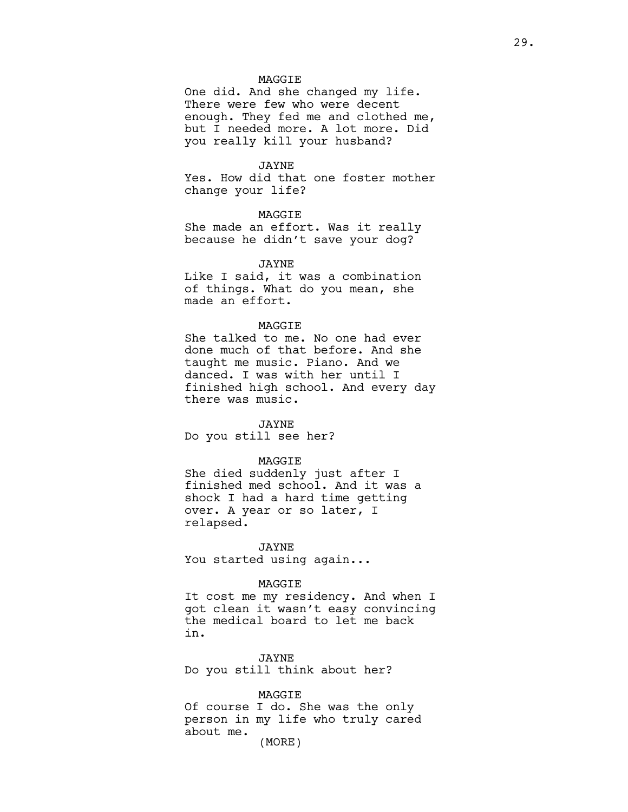### **MAGGTE**

One did. And she changed my life. There were few who were decent enough. They fed me and clothed me, but I needed more. A lot more. Did you really kill your husband?

#### JAYNE

Yes. How did that one foster mother change your life?

### MAGGIE

She made an effort. Was it really because he didn't save your dog?

### JAYNE

Like I said, it was a combination of things. What do you mean, she made an effort.

### **MAGGTE**

She talked to me. No one had ever done much of that before. And she taught me music. Piano. And we danced. I was with her until I finished high school. And every day there was music.

#### JAYNE

Do you still see her?

### **MAGGTE**

She died suddenly just after I finished med school. And it was a shock I had a hard time getting over. A year or so later, I relapsed.

### JAYNE

You started using again...

#### MAGGIE

It cost me my residency. And when I got clean it wasn't easy convincing the medical board to let me back in.

JAYNE Do you still think about her?

### MAGGIE

Of course I do. She was the only person in my life who truly cared about me. (MORE)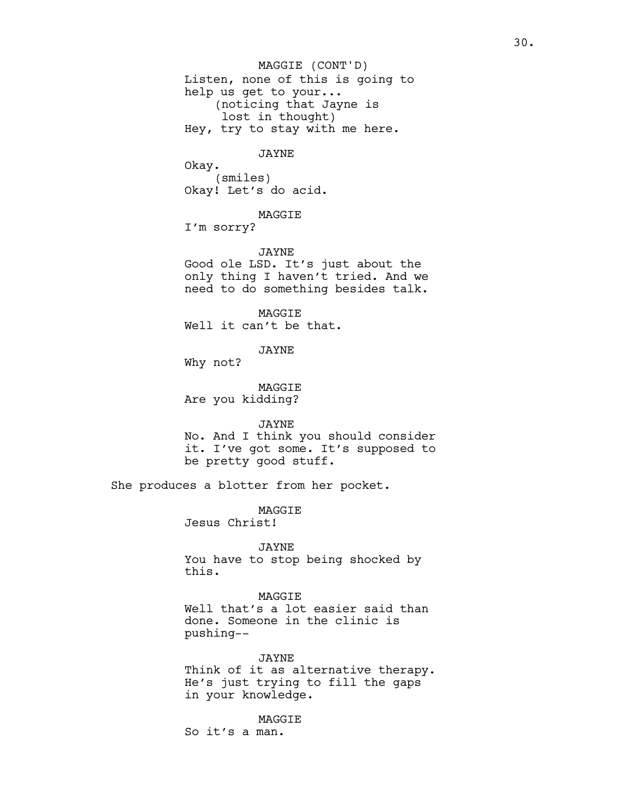Listen, none of this is going to help us get to your... (noticing that Jayne is lost in thought) Hey, try to stay with me here. MAGGIE (CONT'D)

#### JAYNE

Okay. (smiles) Okay! Let's do acid.

MAGGIE

I'm sorry?

JAYNE

Good ole LSD. It's just about the only thing I haven't tried. And we need to do something besides talk.

MAGGIE Well it can't be that.

JAYNE

Why not?

MAGGIE Are you kidding?

JAYNE

No. And I think you should consider it. I've got some. It's supposed to be pretty good stuff.

She produces a blotter from her pocket.

MAGGIE Jesus Christ!

JAYNE

You have to stop being shocked by this.

**MAGGTE** Well that's a lot easier said than done. Someone in the clinic is pushing--

JAYNE Think of it as alternative therapy. He's just trying to fill the gaps in your knowledge.

MAGGIE So it's a man.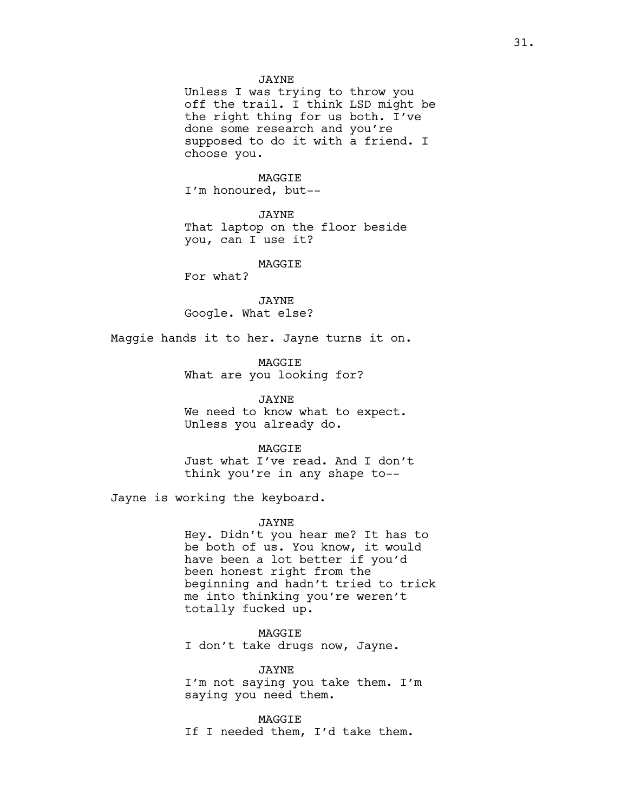Unless I was trying to throw you off the trail. I think LSD might be the right thing for us both. I've done some research and you're supposed to do it with a friend. I choose you.

MAGGIE I'm honoured, but--

JAYNE That laptop on the floor beside you, can I use it?

MAGGIE

For what?

JAYNE Google. What else?

Maggie hands it to her. Jayne turns it on.

MAGGIE What are you looking for?

JAYNE We need to know what to expect. Unless you already do.

MAGGIE Just what I've read. And I don't think you're in any shape to--

Jayne is working the keyboard.

#### JAYNE

Hey. Didn't you hear me? It has to be both of us. You know, it would have been a lot better if you'd been honest right from the beginning and hadn't tried to trick me into thinking you're weren't totally fucked up.

MAGGIE I don't take drugs now, Jayne.

JAYNE I'm not saying you take them. I'm saying you need them.

MAGGIE If I needed them, I'd take them.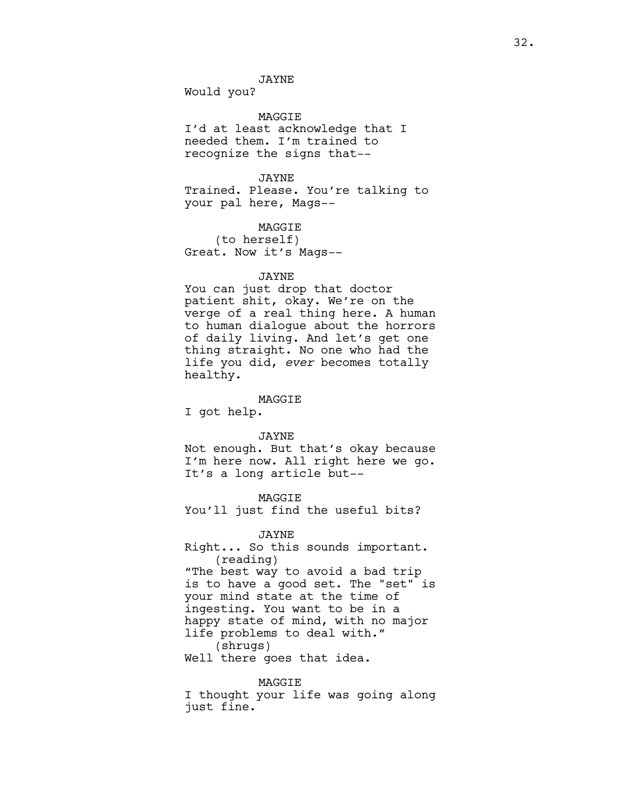Would you?

MAGGIE I'd at least acknowledge that I needed them. I'm trained to recognize the signs that--

JAYNE Trained. Please. You're talking to your pal here, Mags--

MAGGIE (to herself) Great. Now it's Mags--

### JAYNE

You can just drop that doctor patient shit, okay. We're on the verge of a real thing here. A human to human dialogue about the horrors of daily living. And let's get one thing straight. No one who had the life you did, ever becomes totally healthy.

### MAGGIE

I got help.

#### JAYNE

Not enough. But that's okay because I'm here now. All right here we go. It's a long article but--

MAGGIE You'll just find the useful bits?

JAYNE Right... So this sounds important. (reading) "The best way to avoid a bad trip is to have a good set. The "set" is your mind state at the time of ingesting. You want to be in a happy state of mind, with no major life problems to deal with." (shrugs) Well there goes that idea.

MAGGIE I thought your life was going along just fine.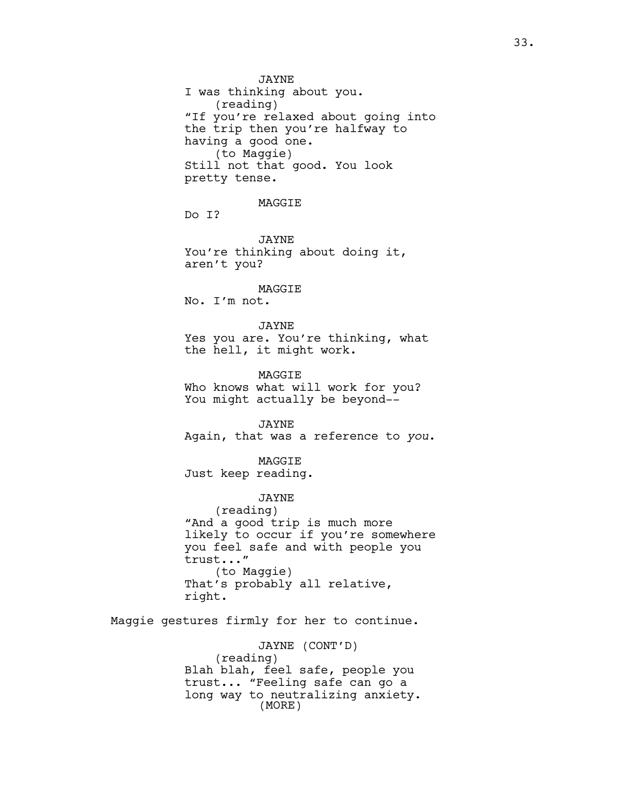JAYNE I was thinking about you. (reading) "If you're relaxed about going into the trip then you're halfway to having a good one. (to Maggie) Still not that good. You look pretty tense. MAGGIE Do I? JAYNE You're thinking about doing it, aren't you? MAGGIE No. I'm not. JAYNE Yes you are. You're thinking, what the hell, it might work. **MAGGTE** Who knows what will work for you? You might actually be beyond-- JAYNE Again, that was a reference to you. MAGGIE Just keep reading. JAYNE (reading) "And a good trip is much more likely to occur if you're somewhere you feel safe and with people you trust..." (to Maggie) That's probably all relative, right. Maggie gestures firmly for her to continue. JAYNE (CONT'D)

(reading) Blah blah, feel safe, people you trust... "Feeling safe can go a long way to neutralizing anxiety. (MORE)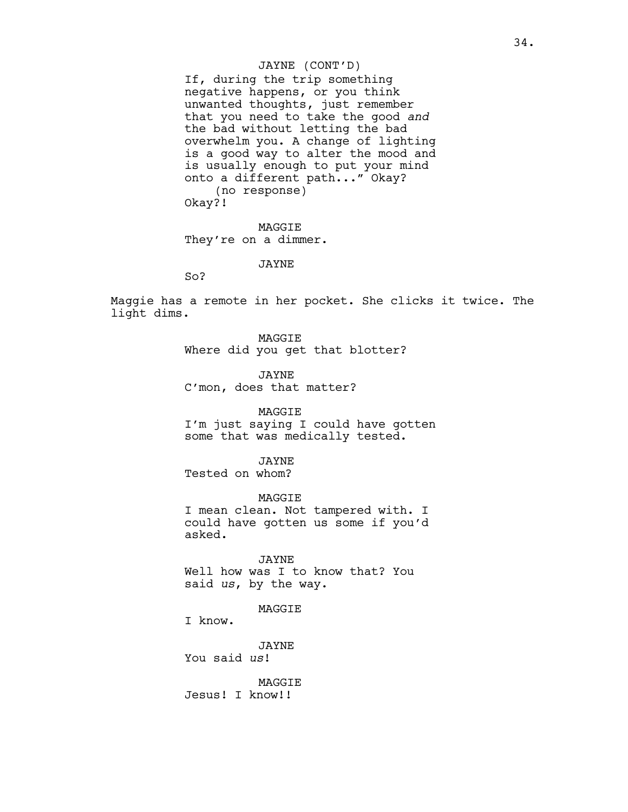If, during the trip something negative happens, or you think unwanted thoughts, just remember that you need to take the good and the bad without letting the bad overwhelm you. A change of lighting is a good way to alter the mood and is usually enough to put your mind onto a different path..." Okay? (no response) Okay?!

MAGGIE They're on a dimmer.

### JAYNE

So?

Maggie has a remote in her pocket. She clicks it twice. The light dims.

> MAGGIE Where did you get that blotter?

JAYNE C'mon, does that matter?

### MAGGIE

I'm just saying I could have gotten some that was medically tested.

JAYNE

Tested on whom?

MAGGIE I mean clean. Not tampered with. I could have gotten us some if you'd asked.

JAYNE Well how was I to know that? You said us, by the way.

MAGGIE

I know.

JAYNE You said us!

MAGGIE Jesus! I know!!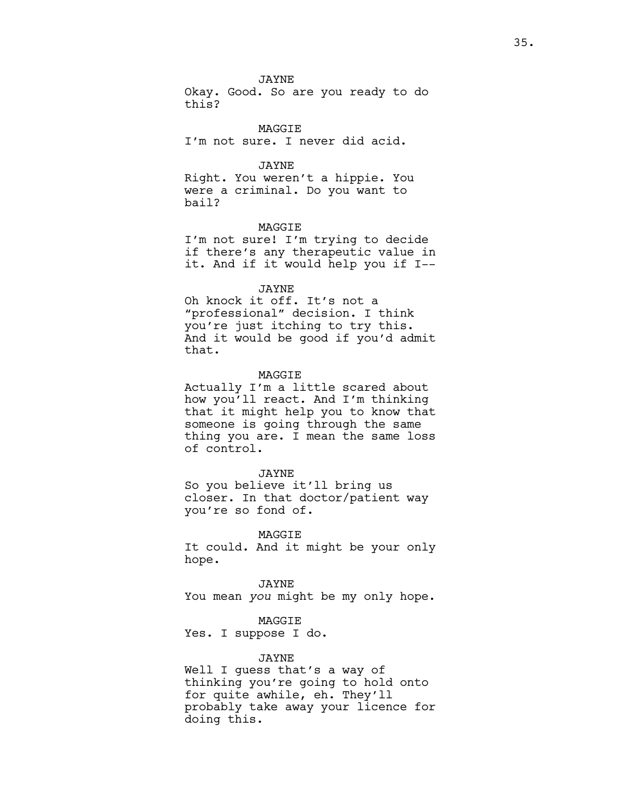Okay. Good. So are you ready to do this?

MAGGIE I'm not sure. I never did acid.

### JAYNE

Right. You weren't a hippie. You were a criminal. Do you want to bail?

#### MAGGIE

I'm not sure! I'm trying to decide if there's any therapeutic value in it. And if it would help you if I--

### JAYNE

Oh knock it off. It's not a "professional" decision. I think you're just itching to try this. And it would be good if you'd admit that.

#### **MAGGTE**

Actually I'm a little scared about how you'll react. And I'm thinking that it might help you to know that someone is going through the same thing you are. I mean the same loss of control.

#### JAYNE

So you believe it'll bring us closer. In that doctor/patient way you're so fond of.

#### MAGGIE

It could. And it might be your only hope.

JAYNE You mean you might be my only hope.

### MAGGIE

Yes. I suppose I do.

#### JAYNE

Well I guess that's a way of thinking you're going to hold onto for quite awhile, eh. They'll probably take away your licence for doing this.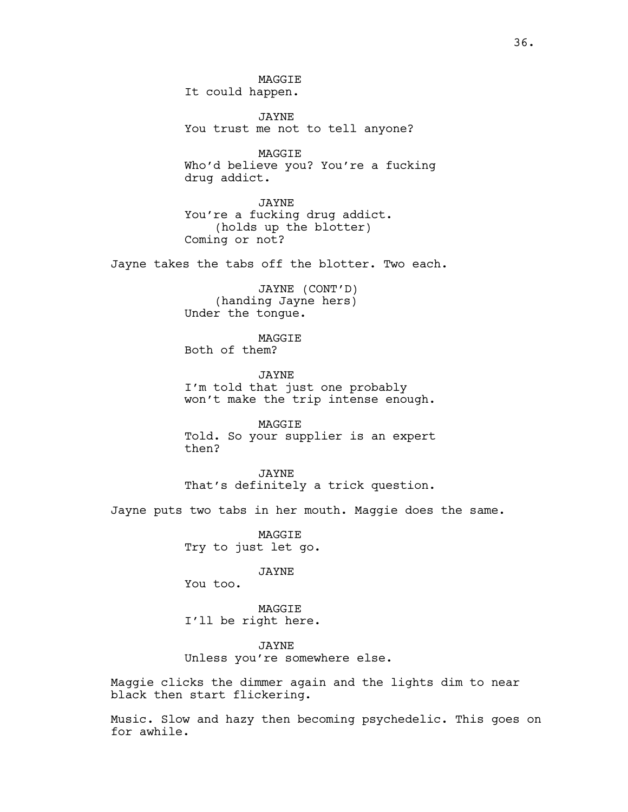MAGGIE It could happen.

JAYNE You trust me not to tell anyone?

MAGGIE Who'd believe you? You're a fucking drug addict.

JAYNE You're a fucking drug addict. (holds up the blotter) Coming or not?

Jayne takes the tabs off the blotter. Two each.

JAYNE (CONT'D) (handing Jayne hers) Under the tongue.

MAGGIE Both of them?

JAYNE I'm told that just one probably won't make the trip intense enough.

MAGGIE Told. So your supplier is an expert then?

JAYNE That's definitely a trick question.

Jayne puts two tabs in her mouth. Maggie does the same.

MAGGIE Try to just let go.

JAYNE

You too.

MAGGIE I'll be right here.

JAYNE Unless you're somewhere else.

Maggie clicks the dimmer again and the lights dim to near black then start flickering.

Music. Slow and hazy then becoming psychedelic. This goes on for awhile.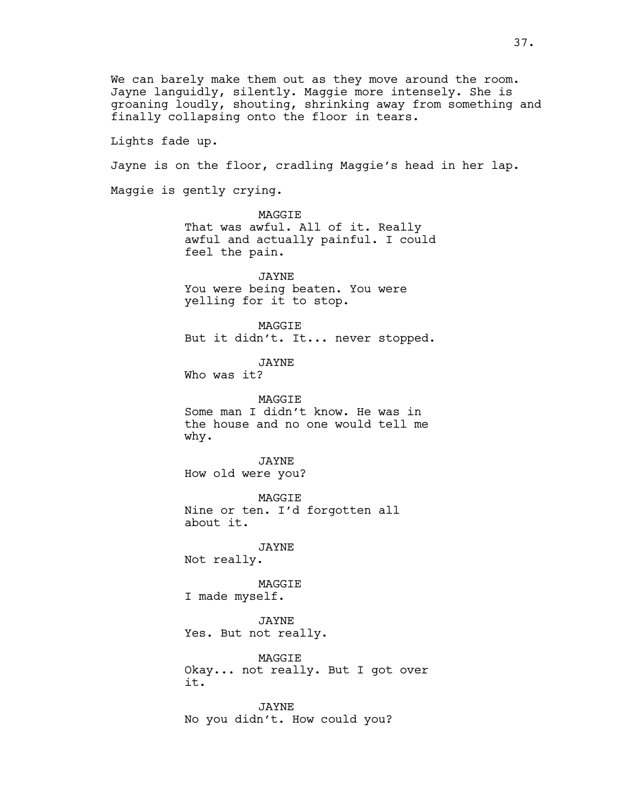We can barely make them out as they move around the room. Jayne languidly, silently. Maggie more intensely. She is groaning loudly, shouting, shrinking away from something and finally collapsing onto the floor in tears. Lights fade up. Jayne is on the floor, cradling Maggie's head in her lap. Maggie is gently crying. MAGGIE That was awful. All of it. Really awful and actually painful. I could feel the pain. JAYNE You were being beaten. You were yelling for it to stop. **MAGGTE** But it didn't. It... never stopped. JAYNE Who was it? **MAGGTE** Some man I didn't know. He was in the house and no one would tell me why. JAYNE How old were you? MAGGIE Nine or ten. I'd forgotten all about it. JAYNE Not really. MAGGIE I made myself. JAYNE Yes. But not really. MAGGIE Okay... not really. But I got over it. JAYNE No you didn't. How could you?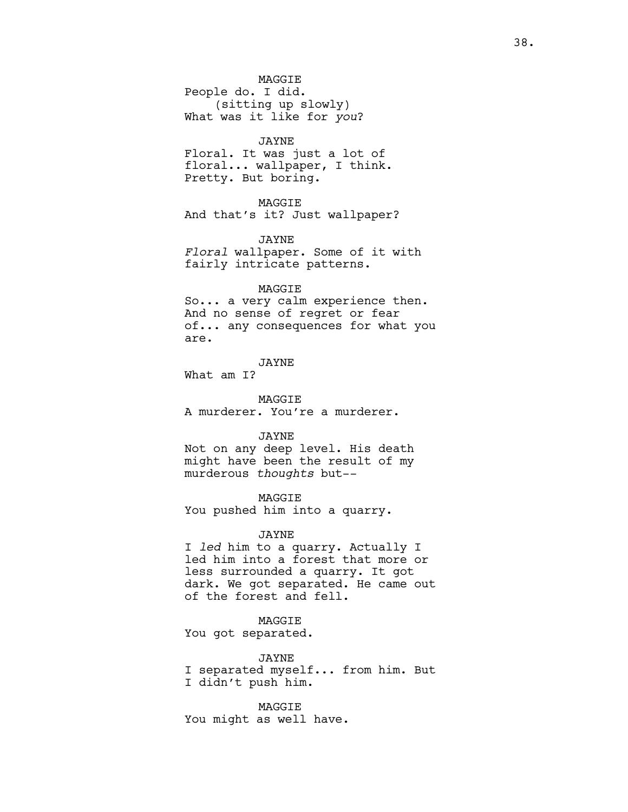MAGGIE People do. I did. (sitting up slowly) What was it like for you?

# JAYNE

Floral. It was just a lot of floral... wallpaper, I think. Pretty. But boring.

MAGGIE

And that's it? Just wallpaper?

JAYNE

Floral wallpaper. Some of it with fairly intricate patterns.

#### MAGGIE

So... a very calm experience then. And no sense of regret or fear of... any consequences for what you are.

### JAYNE

What am I?

MAGGIE A murderer. You're a murderer.

### JAYNE

Not on any deep level. His death might have been the result of my murderous thoughts but--

#### MAGGIE

You pushed him into a quarry.

# JAYNE

I led him to a quarry. Actually I led him into a forest that more or less surrounded a quarry. It got dark. We got separated. He came out of the forest and fell.

# MAGGIE

You got separated.

### JAYNE

I separated myself... from him. But I didn't push him.

MAGGIE You might as well have.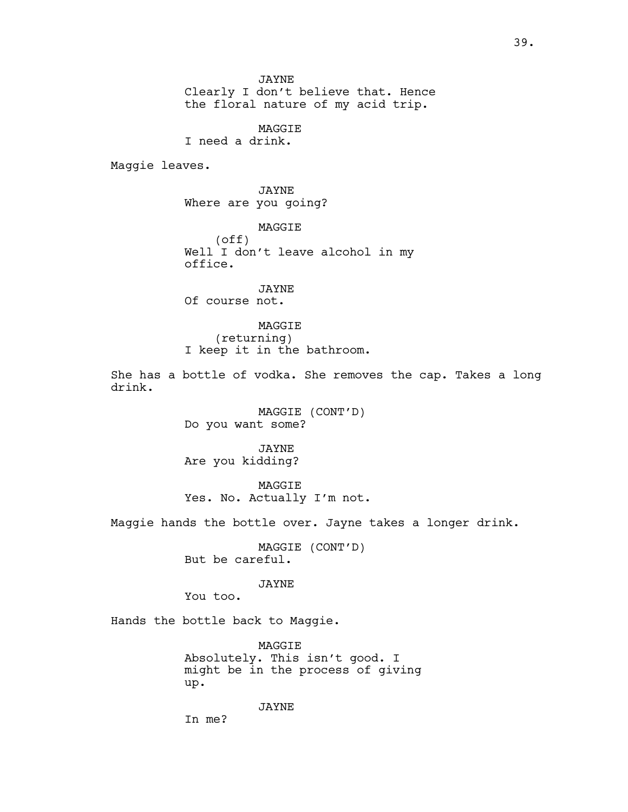JAYNE Clearly I don't believe that. Hence the floral nature of my acid trip.

MAGGIE

I need a drink.

Maggie leaves.

JAYNE Where are you going?

MAGGIE (off) Well I don't leave alcohol in my office.

JAYNE Of course not.

MAGGIE (returning) I keep it in the bathroom.

She has a bottle of vodka. She removes the cap. Takes a long drink.

> MAGGIE (CONT'D) Do you want some?

JAYNE Are you kidding?

MAGGIE Yes. No. Actually I'm not.

Maggie hands the bottle over. Jayne takes a longer drink.

MAGGIE (CONT'D) But be careful.

JAYNE

You too.

Hands the bottle back to Maggie.

MAGGIE Absolutely. This isn't good. I might be in the process of giving up.

JAYNE

In me?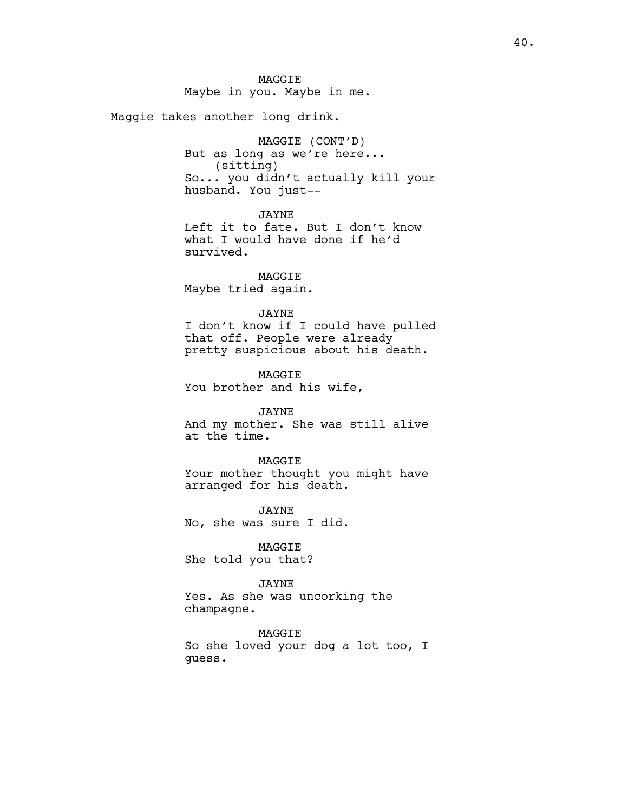**MAGGTE** Maybe in you. Maybe in me. Maggie takes another long drink. MAGGIE (CONT'D) But as long as we're here... (sitting) So... you didn't actually kill your husband. You just-- JAYNE Left it to fate. But I don't know what I would have done if he'd survived. MAGGIE Maybe tried again. JAYNE I don't know if I could have pulled that off. People were already pretty suspicious about his death. MAGGIE You brother and his wife, JAYNE And my mother. She was still alive at the time. MAGGIE Your mother thought you might have arranged for his death. JAYNE No, she was sure I did. MAGGIE She told you that? JAYNE Yes. As she was uncorking the champagne. MAGGIE So she loved your dog a lot too, I guess.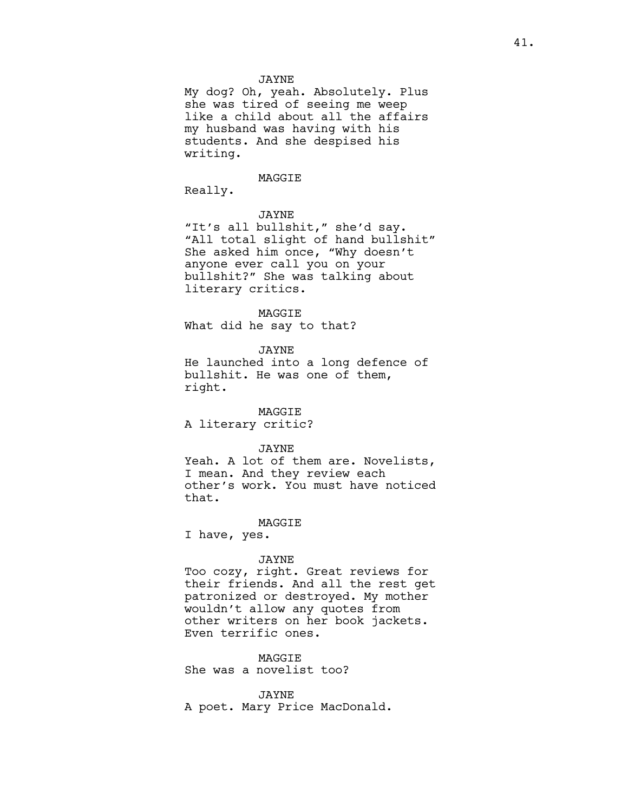### JAYNE

My dog? Oh, yeah. Absolutely. Plus she was tired of seeing me weep like a child about all the affairs my husband was having with his students. And she despised his writing.

### MAGGIE

Really.

# JAYNE

"It's all bullshit," she'd say. "All total slight of hand bullshit" She asked him once, "Why doesn't anyone ever call you on your bullshit?" She was talking about literary critics.

### MAGGIE

What did he say to that?

JAYNE

He launched into a long defence of bullshit. He was one of them, right.

# MAGGIE

A literary critic?

### JAYNE

Yeah. A lot of them are. Novelists, I mean. And they review each other's work. You must have noticed that.

### MAGGIE

I have, yes.

#### JAYNE

Too cozy, right. Great reviews for their friends. And all the rest get patronized or destroyed. My mother wouldn't allow any quotes from other writers on her book jackets. Even terrific ones.

### MAGGIE

She was a novelist too?

### JAYNE

A poet. Mary Price MacDonald.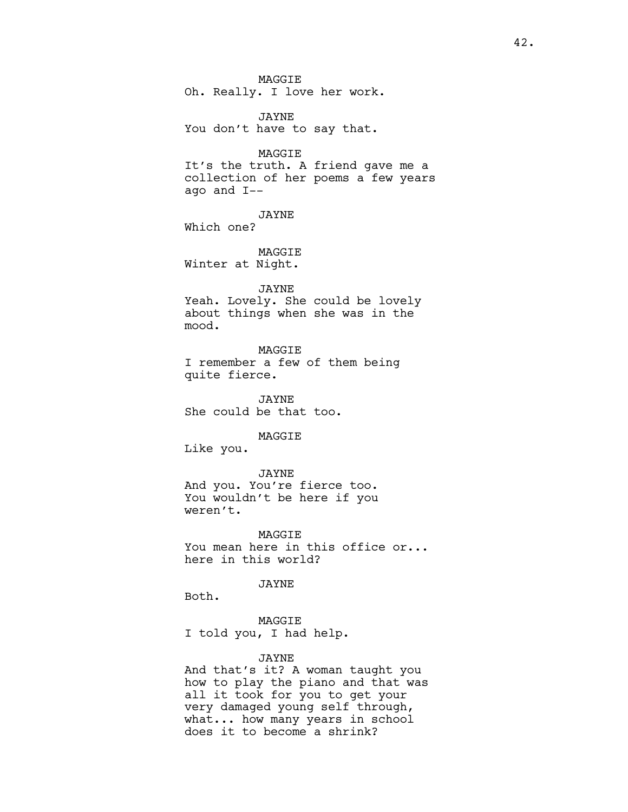MAGGIE Oh. Really. I love her work.

JAYNE You don't have to say that.

MAGGIE

It's the truth. A friend gave me a collection of her poems a few years ago and I--

JAYNE

Which one?

MAGGIE Winter at Night.

JAYNE Yeah. Lovely. She could be lovely about things when she was in the mood.

**MAGGTE** 

I remember a few of them being quite fierce.

JAYNE She could be that too.

MAGGIE

Like you.

JAYNE

And you. You're fierce too. You wouldn't be here if you weren't.

MAGGIE You mean here in this office or... here in this world?

JAYNE

Both.

MAGGIE I told you, I had help.

# JAYNE

And that's it? A woman taught you how to play the piano and that was all it took for you to get your very damaged young self through, what... how many years in school does it to become a shrink?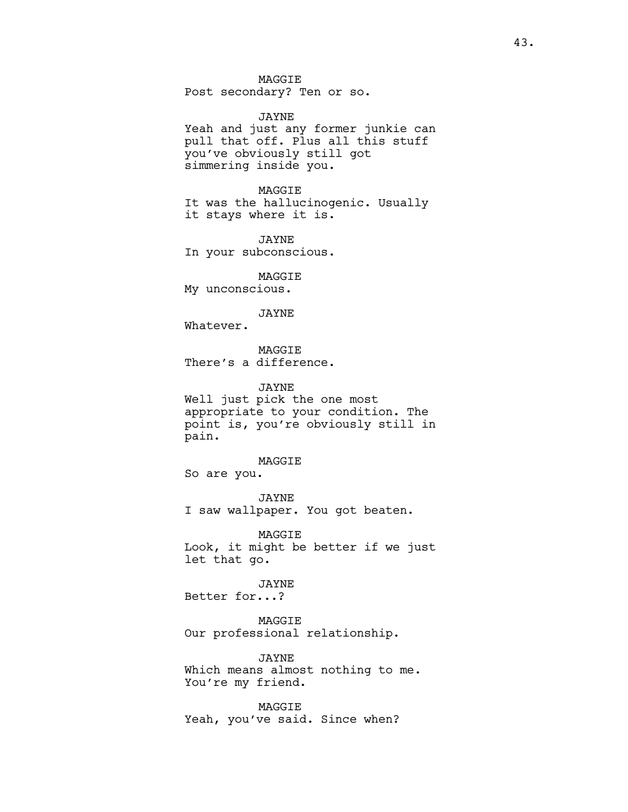MAGGIE Post secondary? Ten or so.

JAYNE

Yeah and just any former junkie can pull that off. Plus all this stuff you've obviously still got simmering inside you.

MAGGIE It was the hallucinogenic. Usually it stays where it is.

JAYNE In your subconscious.

MAGGIE My unconscious.

JAYNE

Whatever.

**MAGGTE** There's a difference.

JAYNE Well just pick the one most appropriate to your condition. The

point is, you're obviously still in pain.

MAGGIE

So are you.

JAYNE I saw wallpaper. You got beaten.

MAGGIE Look, it might be better if we just let that go.

JAYNE Better for...?

MAGGIE Our professional relationship.

JAYNE Which means almost nothing to me. You're my friend.

**MAGGIF** Yeah, you've said. Since when?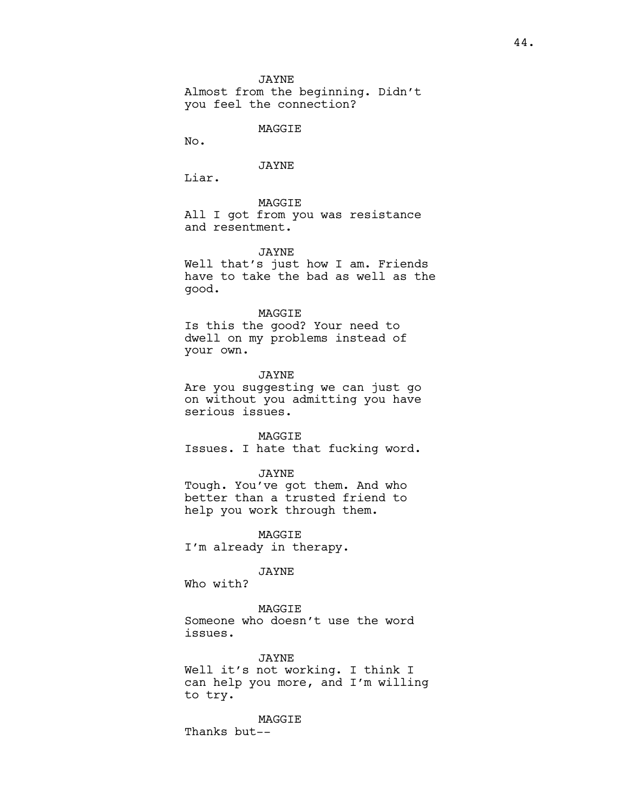JAYNE

Almost from the beginning. Didn't you feel the connection?

MAGGIE

No.

### JAYNE

Liar.

MAGGIE All I got from you was resistance and resentment.

JAYNE

Well that's just how I am. Friends have to take the bad as well as the good.

### MAGGIE

Is this the good? Your need to dwell on my problems instead of your own.

JAYNE

Are you suggesting we can just go on without you admitting you have serious issues.

MAGGIE

Issues. I hate that fucking word.

### JAYNE

Tough. You've got them. And who better than a trusted friend to help you work through them.

MAGGIE I'm already in therapy.

# JAYNE

Who with?

MAGGIE Someone who doesn't use the word issues.

JAYNE

Well it's not working. I think I can help you more, and I'm willing to try.

MAGGIE Thanks but--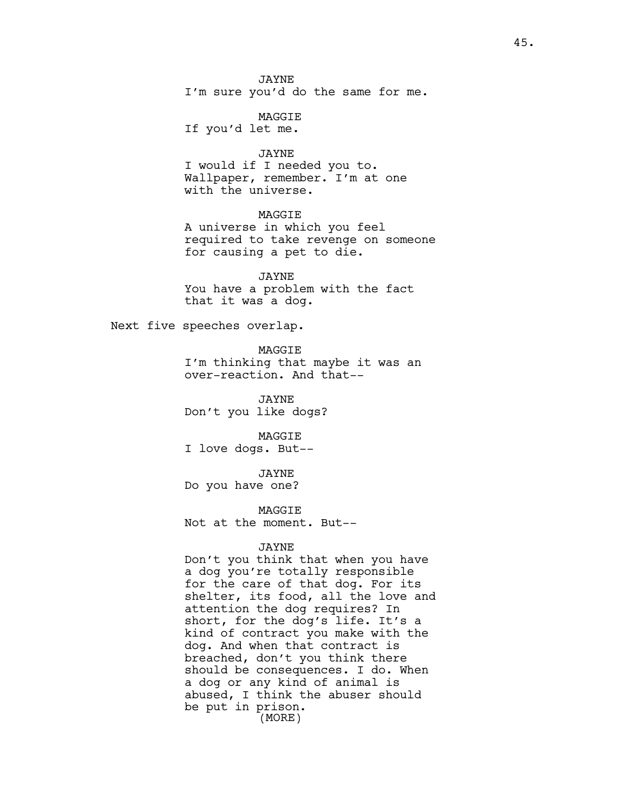JAYNE I'm sure you'd do the same for me.

MAGGIE If you'd let me.

JAYNE I would if I needed you to. Wallpaper, remember. I'm at one with the universe.

MAGGIE A universe in which you feel required to take revenge on someone for causing a pet to die.

JAYNE You have a problem with the fact that it was a dog.

Next five speeches overlap.

MAGGIE I'm thinking that maybe it was an over-reaction. And that--

JAYNE Don't you like dogs?

MAGGIE I love dogs. But--

JAYNE Do you have one?

MAGGIE Not at the moment. But--

# JAYNE

Don't you think that when you have a dog you're totally responsible for the care of that dog. For its shelter, its food, all the love and attention the dog requires? In short, for the dog's life. It's a kind of contract you make with the dog. And when that contract is breached, don't you think there should be consequences. I do. When a dog or any kind of animal is abused, I think the abuser should be put in prison. (MORE)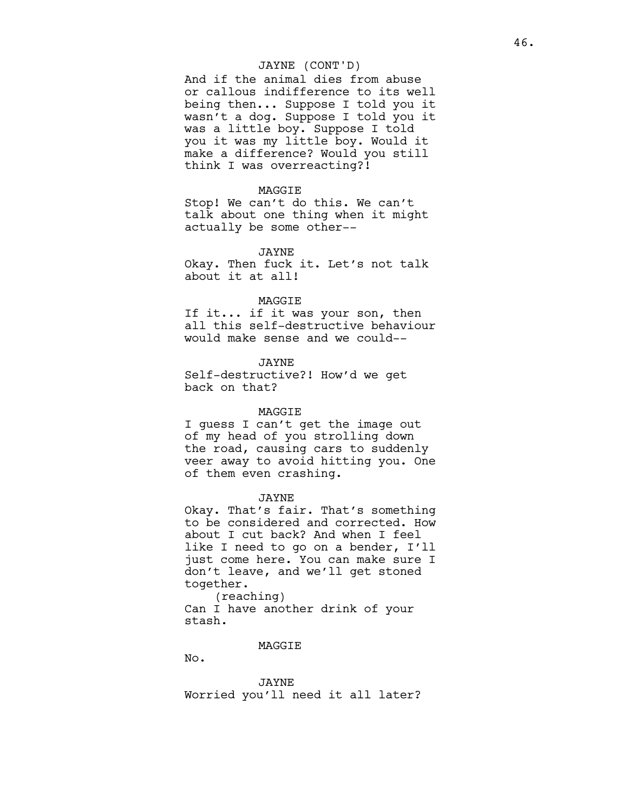### JAYNE (CONT'D)

And if the animal dies from abuse or callous indifference to its well being then... Suppose I told you it wasn't a dog. Suppose I told you it was a little boy. Suppose I told you it was my little boy. Would it make a difference? Would you still think I was overreacting?!

#### MAGGIE

Stop! We can't do this. We can't talk about one thing when it might actually be some other--

### JAYNE

Okay. Then fuck it. Let's not talk about it at all!

### MAGGIE

If it... if it was your son, then all this self-destructive behaviour would make sense and we could--

JAYNE Self-destructive?! How'd we get back on that?

### MAGGIE

I guess I can't get the image out of my head of you strolling down the road, causing cars to suddenly veer away to avoid hitting you. One of them even crashing.

#### JAYNE

Okay. That's fair. That's something to be considered and corrected. How about I cut back? And when I feel like I need to go on a bender, I'll just come here. You can make sure I don't leave, and we'll get stoned together.

(reaching) Can I have another drink of your stash.

# **MAGGTE**

No.

JAYNE Worried you'll need it all later?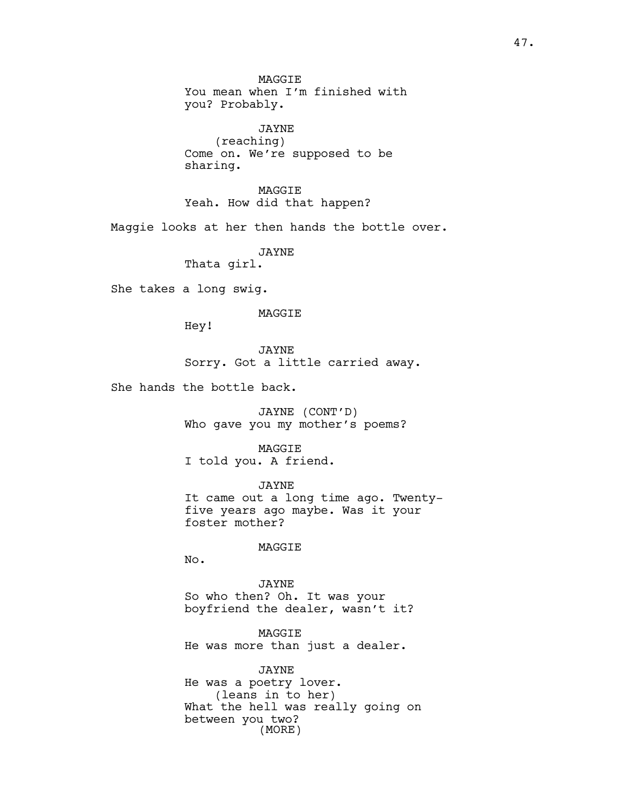**MAGGTE** You mean when I'm finished with you? Probably.

JAYNE (reaching) Come on. We're supposed to be sharing.

MAGGIE Yeah. How did that happen?

Maggie looks at her then hands the bottle over.

JAYNE

Thata girl.

She takes a long swig.

#### MAGGIE

Hey!

JAYNE Sorry. Got a little carried away.

She hands the bottle back.

JAYNE (CONT'D) Who gave you my mother's poems?

MAGGIE

I told you. A friend.

JAYNE It came out a long time ago. Twentyfive years ago maybe. Was it your foster mother?

# MAGGIE

No.

JAYNE So who then? Oh. It was your boyfriend the dealer, wasn't it?

MAGGIE He was more than just a dealer.

JAYNE He was a poetry lover. (leans in to her) What the hell was really going on between you two? (MORE)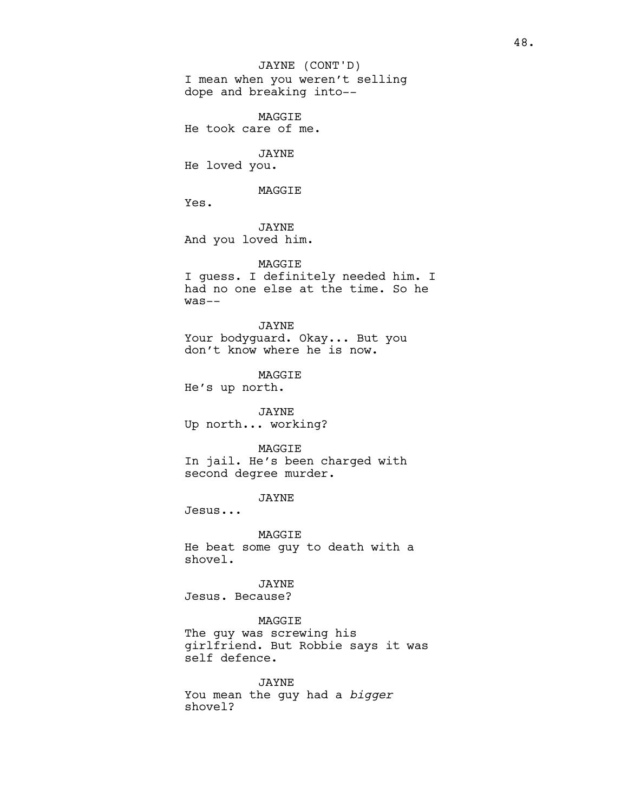I mean when you weren't selling dope and breaking into-- JAYNE (CONT'D)

MAGGIE He took care of me.

JAYNE He loved you.

MAGGIE

Yes.

JAYNE And you loved him.

MAGGIE I guess. I definitely needed him. I had no one else at the time. So he was--

JAYNE Your bodyguard. Okay... But you don't know where he is now.

**MAGGTE** He's up north.

JAYNE Up north... working?

MAGGIE

In jail. He's been charged with second degree murder.

JAYNE

Jesus...

MAGGIE He beat some guy to death with a shovel.

JAYNE Jesus. Because?

MAGGIE

The guy was screwing his girlfriend. But Robbie says it was self defence.

JAYNE You mean the guy had a bigger shovel?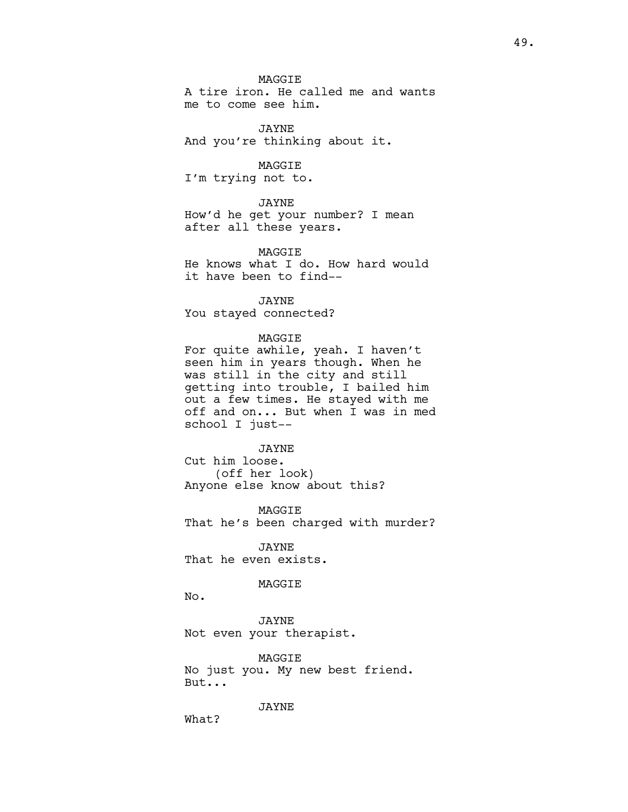**MAGGTE** 

A tire iron. He called me and wants me to come see him.

JAYNE And you're thinking about it.

MAGGIE

I'm trying not to.

JAYNE

How'd he get your number? I mean after all these years.

MAGGIE He knows what I do. How hard would it have been to find--

JAYNE

You stayed connected?

# MAGGIE

For quite awhile, yeah. I haven't seen him in years though. When he was still in the city and still getting into trouble, I bailed him out a few times. He stayed with me off and on... But when I was in med school I just--

JAYNE Cut him loose. (off her look) Anyone else know about this?

MAGGIE That he's been charged with murder?

JAYNE That he even exists.

# MAGGIE

No.

JAYNE Not even your therapist.

MAGGIE No just you. My new best friend. But...

JAYNE

What?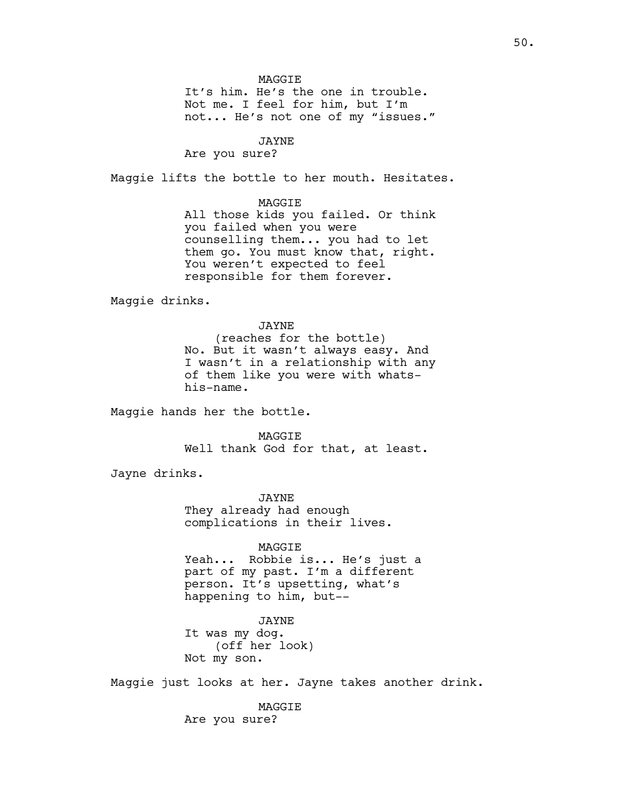**MAGGTE** 

It's him. He's the one in trouble. Not me. I feel for him, but I'm not... He's not one of my "issues."

# JAYNE

Are you sure?

Maggie lifts the bottle to her mouth. Hesitates.

# MAGGIE

All those kids you failed. Or think you failed when you were counselling them... you had to let them go. You must know that, right. You weren't expected to feel responsible for them forever.

Maggie drinks.

JAYNE (reaches for the bottle) No. But it wasn't always easy. And I wasn't in a relationship with any of them like you were with whatshis-name.

Maggie hands her the bottle.

MAGGIE Well thank God for that, at least.

Jayne drinks.

JAYNE They already had enough complications in their lives.

MAGGIE Yeah... Robbie is... He's just a part of my past. I'm a different person. It's upsetting, what's happening to him, but--

JAYNE It was my dog. (off her look) Not my son.

Maggie just looks at her. Jayne takes another drink.

MAGGIE Are you sure?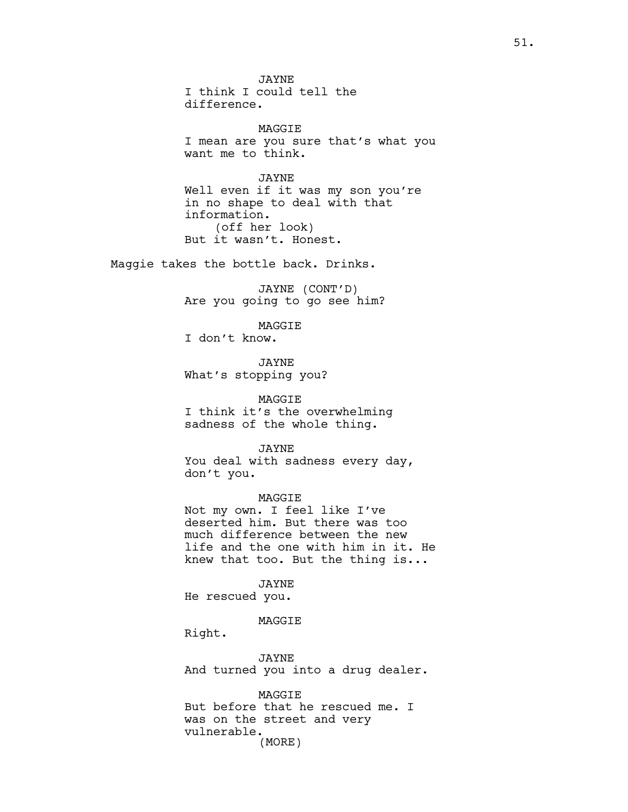JAYNE I think I could tell the difference.

MAGGIE I mean are you sure that's what you want me to think.

JAYNE Well even if it was my son you're in no shape to deal with that information. (off her look) But it wasn't. Honest.

Maggie takes the bottle back. Drinks.

JAYNE (CONT'D) Are you going to go see him?

**MAGGTE** 

I don't know.

JAYNE What's stopping you?

MAGGIE I think it's the overwhelming sadness of the whole thing.

JAYNE You deal with sadness every day, don't you.

MAGGIE Not my own. I feel like I've deserted him. But there was too much difference between the new life and the one with him in it. He knew that too. But the thing is...

JAYNE

He rescued you.

MAGGIE

Right.

JAYNE And turned you into a drug dealer.

MAGGIE But before that he rescued me. I was on the street and very vulnerable. (MORE)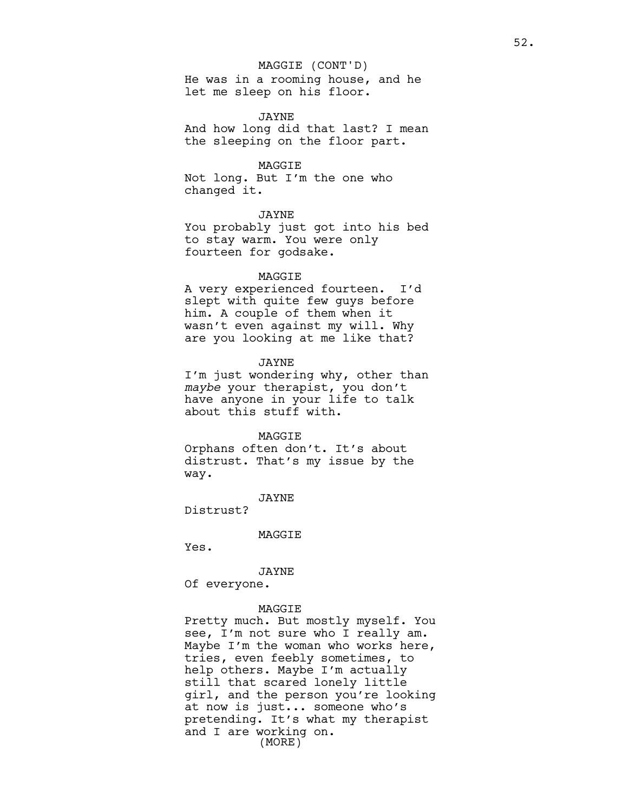### MAGGIE (CONT'D)

He was in a rooming house, and he let me sleep on his floor.

JAYNE And how long did that last? I mean the sleeping on the floor part.

### MAGGIE

Not long. But I'm the one who changed it.

# JAYNE

You probably just got into his bed to stay warm. You were only fourteen for godsake.

#### MAGGIE

A very experienced fourteen. I'd slept with quite few guys before him. A couple of them when it wasn't even against my will. Why are you looking at me like that?

### JAYNE

I'm just wondering why, other than maybe your therapist, you don't have anyone in your life to talk about this stuff with.

### **MAGGTE**

Orphans often don't. It's about distrust. That's my issue by the way.

JAYNE

Distrust?

#### MAGGIE

Yes.

#### JAYNE

Of everyone.

### MAGGIE

Pretty much. But mostly myself. You see, I'm not sure who I really am. Maybe I'm the woman who works here, tries, even feebly sometimes, to help others. Maybe I'm actually still that scared lonely little girl, and the person you're looking at now is just... someone who's pretending. It's what my therapist and I are working on. (MORE)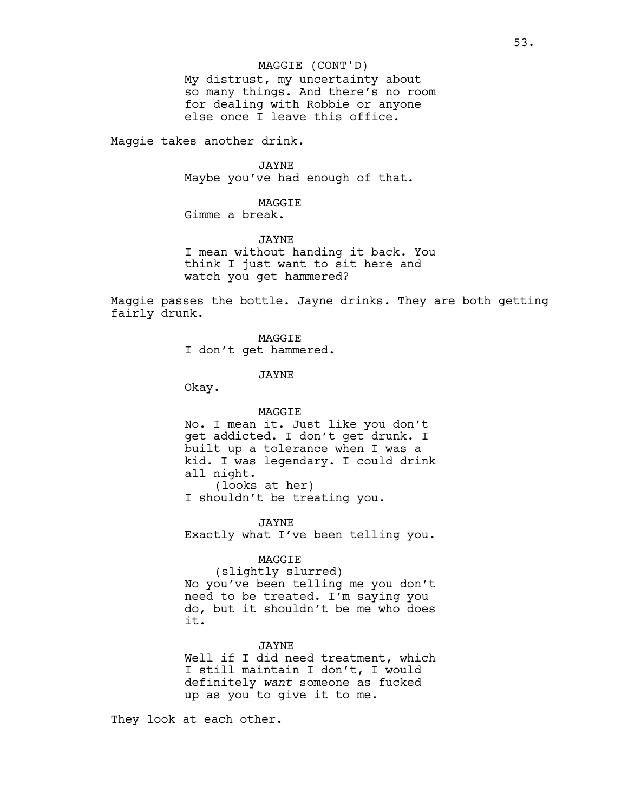# MAGGIE (CONT'D)

My distrust, my uncertainty about so many things. And there's no room for dealing with Robbie or anyone else once I leave this office.

Maggie takes another drink.

JAYNE

Maybe you've had enough of that.

# MAGGIE

Gimme a break.

JAYNE

I mean without handing it back. You think I just want to sit here and watch you get hammered?

Maggie passes the bottle. Jayne drinks. They are both getting fairly drunk.

> MAGGIE I don't get hammered.

> > JAYNE

Okay.

### MAGGIE

No. I mean it. Just like you don't get addicted. I don't get drunk. I built up a tolerance when I was a kid. I was legendary. I could drink all night. (looks at her)

I shouldn't be treating you.

JAYNE

Exactly what I've been telling you.

### MAGGIE

(slightly slurred) No you've been telling me you don't need to be treated. I'm saying you do, but it shouldn't be me who does it.

#### JAYNE

Well if I did need treatment, which I still maintain I don't, I would definitely want someone as fucked up as you to give it to me.

They look at each other.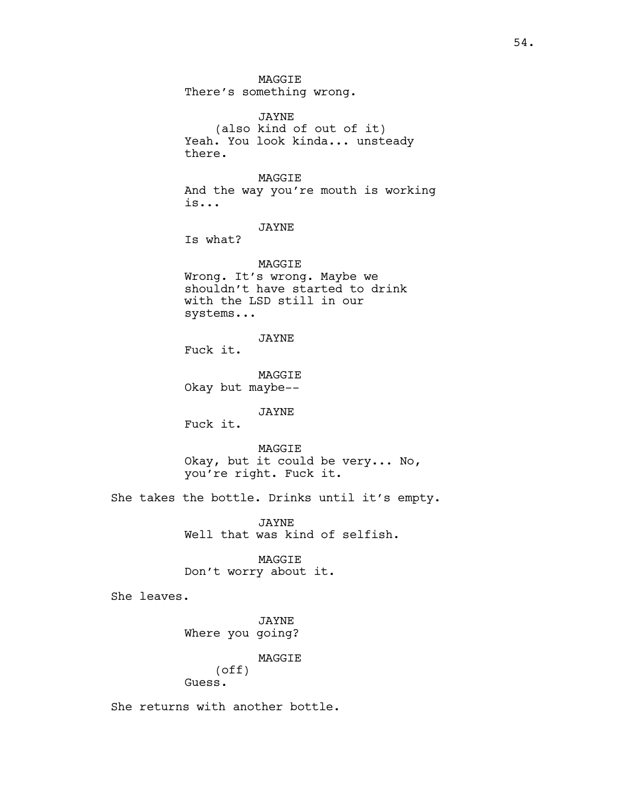MAGGIE There's something wrong. JAYNE (also kind of out of it) Yeah. You look kinda... unsteady there. MAGGIE And the way you're mouth is working is... JAYNE Is what? MAGGIE Wrong. It's wrong. Maybe we shouldn't have started to drink with the LSD still in our systems... JAYNE Fuck it. MAGGIE Okay but maybe-- JAYNE Fuck it. MAGGIE Okay, but it could be very... No, you're right. Fuck it. She takes the bottle. Drinks until it's empty. JAYNE Well that was kind of selfish. MAGGIE Don't worry about it. She leaves. JAYNE Where you going? MAGGIE (off) Guess.

She returns with another bottle.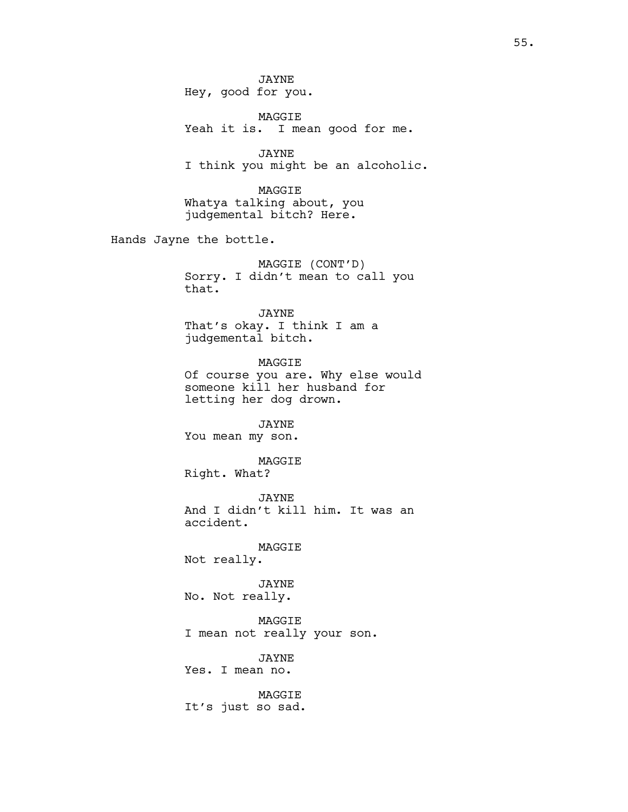JAYNE Hey, good for you.

MAGGIE Yeah it is. I mean good for me.

JAYNE I think you might be an alcoholic.

MAGGIE Whatya talking about, you judgemental bitch? Here.

Hands Jayne the bottle.

MAGGIE (CONT'D) Sorry. I didn't mean to call you that.

JAYNE That's okay. I think I am a judgemental bitch.

MAGGIE Of course you are. Why else would someone kill her husband for letting her dog drown.

JAYNE You mean my son.

MAGGIE Right. What?

JAYNE And I didn't kill him. It was an accident.

MAGGIE

Not really.

JAYNE No. Not really.

MAGGIE I mean not really your son.

JAYNE Yes. I mean no.

MAGGIE It's just so sad.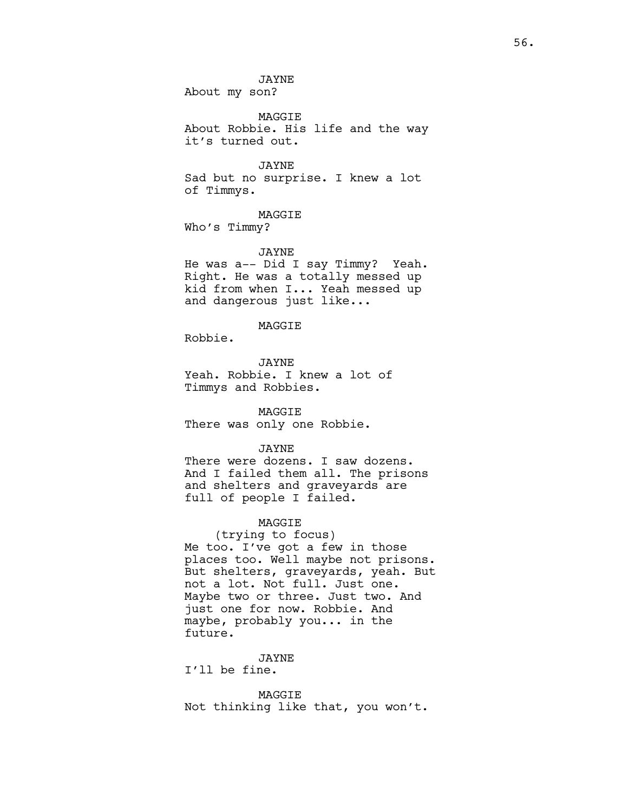JAYNE About my son?

MAGGIE About Robbie. His life and the way it's turned out.

JAYNE Sad but no surprise. I knew a lot of Timmys.

MAGGIE Who's Timmy?

### JAYNE

He was a-- Did I say Timmy? Yeah. Right. He was a totally messed up kid from when I... Yeah messed up and dangerous just like...

### **MAGGTE**

Robbie.

JAYNE Yeah. Robbie. I knew a lot of Timmys and Robbies.

MAGGIE There was only one Robbie.

# JAYNE

There were dozens. I saw dozens. And I failed them all. The prisons and shelters and graveyards are full of people I failed.

# MAGGIE

(trying to focus) Me too. I've got a few in those places too. Well maybe not prisons. But shelters, graveyards, yeah. But not a lot. Not full. Just one. Maybe two or three. Just two. And just one for now. Robbie. And maybe, probably you... in the future.

JAYNE

# I'll be fine.

MAGGIE Not thinking like that, you won't.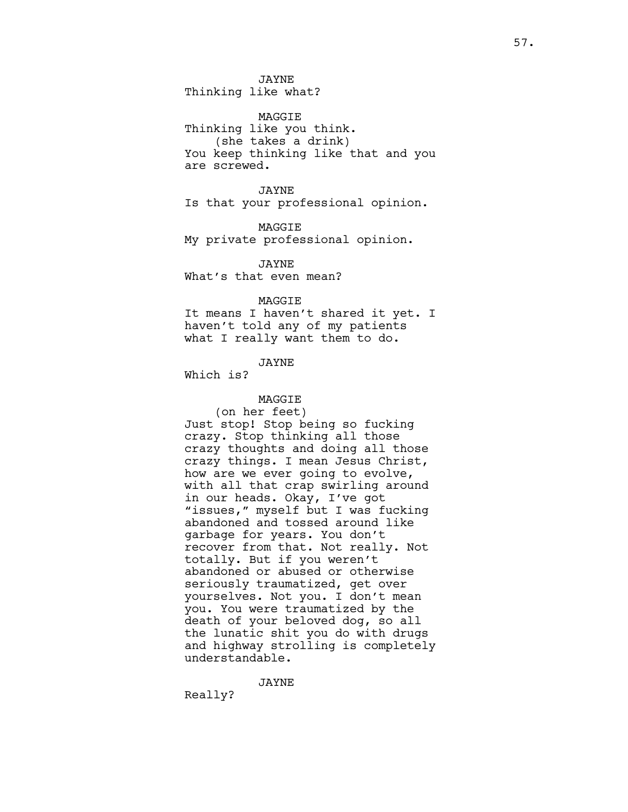JAYNE Thinking like what?

MAGGIE Thinking like you think. (she takes a drink) You keep thinking like that and you are screwed.

JAYNE Is that your professional opinion.

MAGGIE My private professional opinion.

JAYNE What's that even mean?

### MAGGIE

It means I haven't shared it yet. I haven't told any of my patients what I really want them to do.

# JAYNE

Which is?

# MAGGIE

(on her feet) Just stop! Stop being so fucking crazy. Stop thinking all those

crazy thoughts and doing all those crazy things. I mean Jesus Christ, how are we ever going to evolve, with all that crap swirling around in our heads. Okay, I've got "issues," myself but I was fucking abandoned and tossed around like garbage for years. You don't recover from that. Not really. Not totally. But if you weren't abandoned or abused or otherwise seriously traumatized, get over yourselves. Not you. I don't mean you. You were traumatized by the death of your beloved dog, so all the lunatic shit you do with drugs and highway strolling is completely understandable.

JAYNE

Really?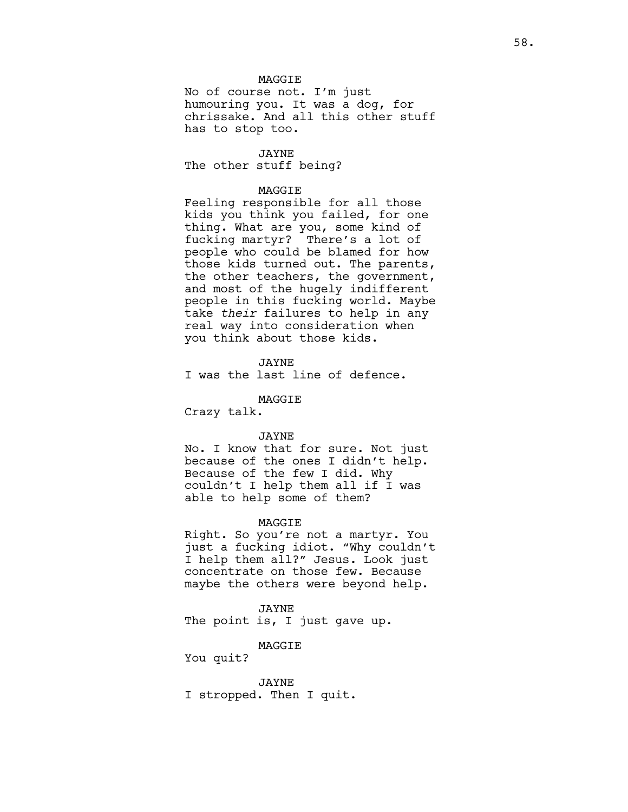### MAGGIE

No of course not. I'm just humouring you. It was a dog, for chrissake. And all this other stuff has to stop too.

#### JAYNE

The other stuff being?

### MAGGIE

Feeling responsible for all those kids you think you failed, for one thing. What are you, some kind of fucking martyr? There's a lot of people who could be blamed for how those kids turned out. The parents, the other teachers, the government, and most of the hugely indifferent people in this fucking world. Maybe take their failures to help in any real way into consideration when you think about those kids.

JAYNE

I was the last line of defence.

MAGGIE

Crazy talk.

#### JAYNE

No. I know that for sure. Not just because of the ones I didn't help. Because of the few I did. Why couldn't I help them all if I was able to help some of them?

### MAGGIE

Right. So you're not a martyr. You just a fucking idiot. "Why couldn't I help them all?" Jesus. Look just concentrate on those few. Because maybe the others were beyond help.

### JAYNE

The point is, I just gave up.

MAGGIE

You quit?

JAYNE I stropped. Then I quit.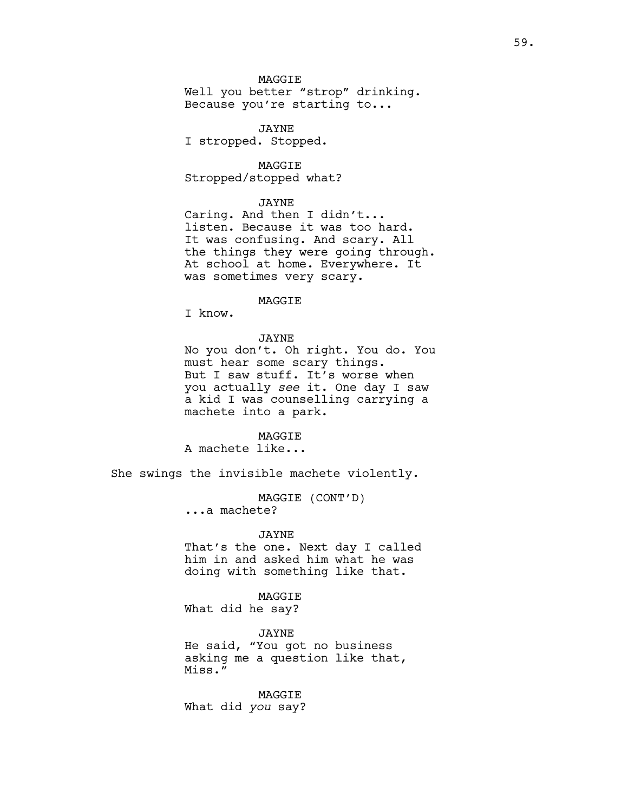### MAGGIE

Well you better "strop" drinking. Because you're starting to...

JAYNE I stropped. Stopped.

MAGGIE Stropped/stopped what?

### JAYNE

Caring. And then I didn't... listen. Because it was too hard. It was confusing. And scary. All the things they were going through. At school at home. Everywhere. It was sometimes very scary.

# MAGGIE

I know.

# JAYNE

No you don't. Oh right. You do. You must hear some scary things. But I saw stuff. It's worse when you actually see it. One day I saw a kid I was counselling carrying a machete into a park.

MAGGIE

A machete like...

She swings the invisible machete violently.

MAGGIE (CONT'D) ...a machete?

JAYNE

That's the one. Next day I called him in and asked him what he was doing with something like that.

MAGGIE

What did he say?

JAYNE He said, "You got no business asking me a question like that, Miss."

MAGGIE What did you say?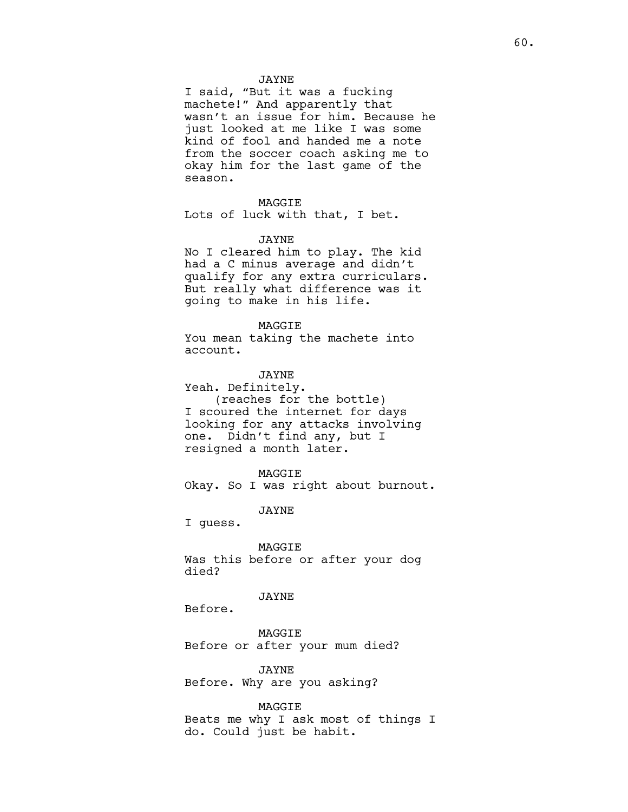# JAYNE

I said, "But it was a fucking machete!" And apparently that wasn't an issue for him. Because he just looked at me like I was some kind of fool and handed me a note from the soccer coach asking me to okay him for the last game of the season.

# MAGGIE

Lots of luck with that, I bet.

#### JAYNE

No I cleared him to play. The kid had a C minus average and didn't qualify for any extra curriculars. But really what difference was it going to make in his life.

# **MAGGTE**

You mean taking the machete into account.

JAYNE

Yeah. Definitely. (reaches for the bottle) I scoured the internet for days looking for any attacks involving one. Didn't find any, but I resigned a month later.

#### MAGGIE

Okay. So I was right about burnout.

JAYNE

I guess.

### MAGGIE

Was this before or after your dog died?

# JAYNE

Before.

MAGGIE Before or after your mum died?

JAYNE Before. Why are you asking?

MAGGIE

Beats me why I ask most of things I do. Could just be habit.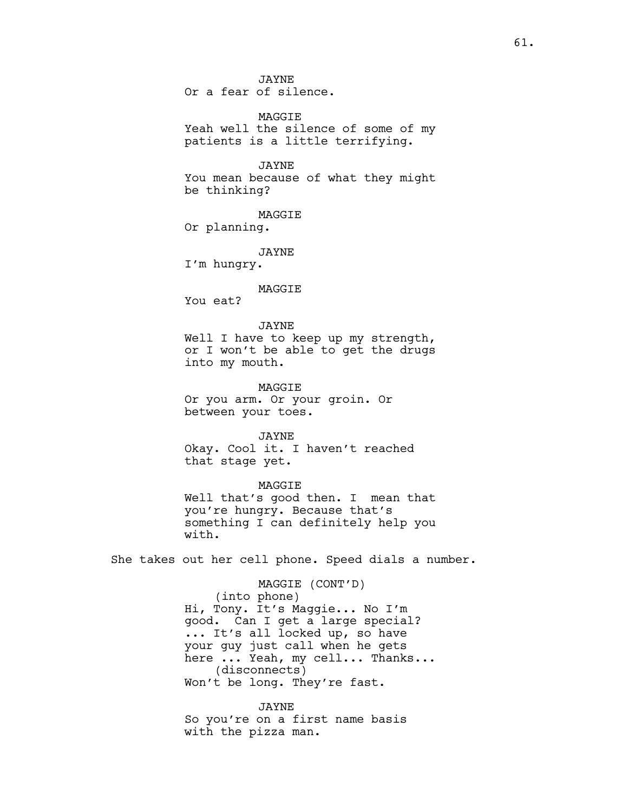MAGGIE Yeah well the silence of some of my patients is a little terrifying.

JAYNE You mean because of what they might be thinking?

MAGGIE Or planning.

JAYNE

I'm hungry.

# MAGGIE

You eat?

# JAYNE

Well I have to keep up my strength, or I won't be able to get the drugs into my mouth.

MAGGIE

Or you arm. Or your groin. Or between your toes.

JAYNE

Okay. Cool it. I haven't reached that stage yet.

MAGGIE

Well that's good then. I mean that you're hungry. Because that's something I can definitely help you with.

She takes out her cell phone. Speed dials a number.

MAGGIE (CONT'D) (into phone) Hi, Tony. It's Maggie... No I'm good. Can I get a large special? ... It's all locked up, so have your guy just call when he gets here ... Yeah, my cell... Thanks... (disconnects) Won't be long. They're fast.

JAYNE So you're on a first name basis with the pizza man.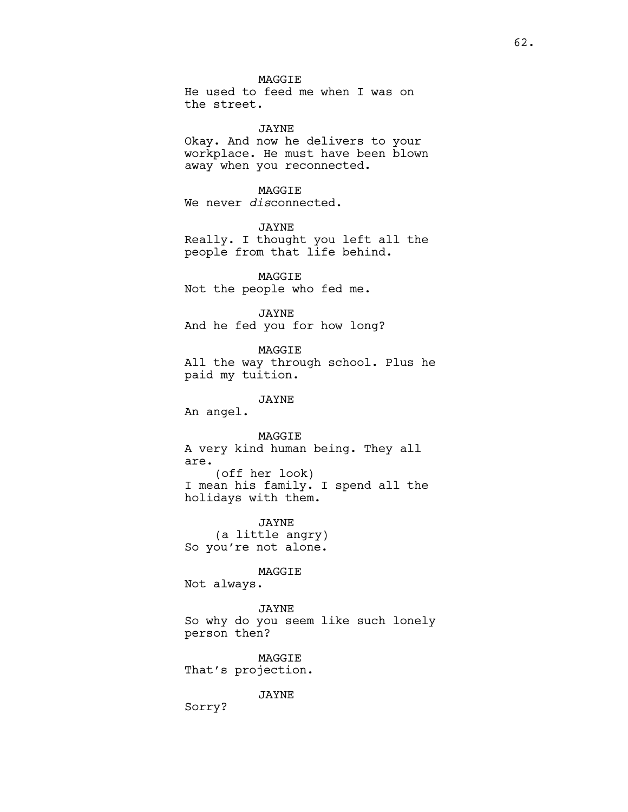**MAGGTE** He used to feed me when I was on the street.

JAYNE Okay. And now he delivers to your workplace. He must have been blown away when you reconnected.

MAGGIE We never disconnected.

JAYNE Really. I thought you left all the people from that life behind.

MAGGIE Not the people who fed me.

JAYNE And he fed you for how long?

MAGGIE All the way through school. Plus he paid my tuition.

JAYNE

An angel.

MAGGIE A very kind human being. They all are. (off her look) I mean his family. I spend all the holidays with them.

JAYNE (a little angry) So you're not alone.

MAGGIE

Not always.

JAYNE So why do you seem like such lonely person then?

MAGGIE That's projection.

JAYNE

Sorry?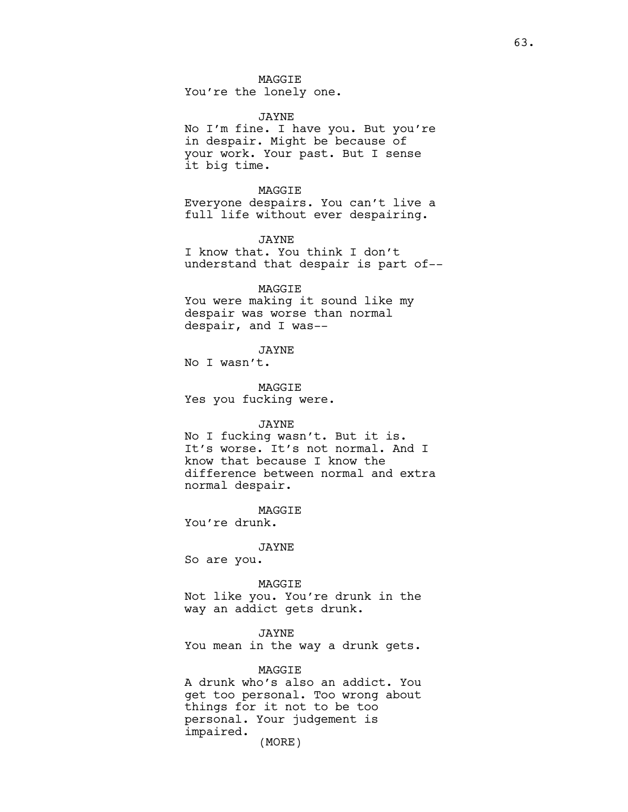MAGGIE

You're the lonely one.

JAYNE

No I'm fine. I have you. But you're in despair. Might be because of your work. Your past. But I sense it big time.

MAGGIE Everyone despairs. You can't live a full life without ever despairing.

JAYNE I know that. You think I don't understand that despair is part of--

MAGGIE You were making it sound like my despair was worse than normal despair, and I was--

JAYNE

No I wasn't.

MAGGIE Yes you fucking were.

JAYNE

No I fucking wasn't. But it is. It's worse. It's not normal. And I know that because I know the difference between normal and extra normal despair.

**MAGGTE** 

You're drunk.

# JAYNE

So are you.

### MAGGIE

Not like you. You're drunk in the way an addict gets drunk.

JAYNE

You mean in the way a drunk gets.

### **MAGGTE**

A drunk who's also an addict. You get too personal. Too wrong about things for it not to be too personal. Your judgement is impaired. (MORE)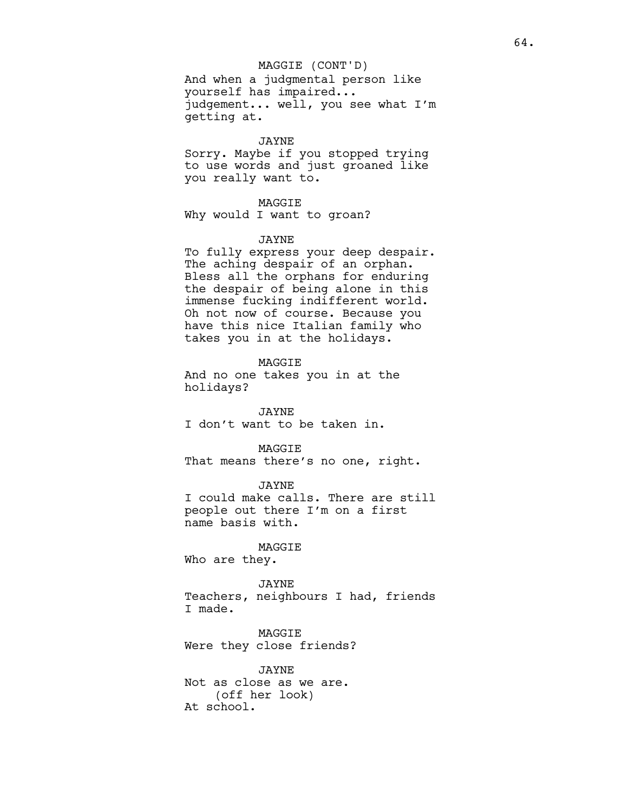### MAGGIE (CONT'D)

And when a judgmental person like yourself has impaired... judgement... well, you see what I'm getting at.

### JAYNE

Sorry. Maybe if you stopped trying to use words and just groaned like you really want to.

# MAGGIE

Why would I want to groan?

# JAYNE

To fully express your deep despair. The aching despair of an orphan. Bless all the orphans for enduring the despair of being alone in this immense fucking indifferent world. Oh not now of course. Because you have this nice Italian family who takes you in at the holidays.

#### MAGGIE

And no one takes you in at the holidays?

JAYNE I don't want to be taken in.

### MAGGIE

That means there's no one, right.

# JAYNE

I could make calls. There are still people out there I'm on a first name basis with.

# MAGGIE

Who are they.

#### JAYNE

Teachers, neighbours I had, friends I made.

MAGGIE Were they close friends?

JAYNE Not as close as we are. (off her look) At school.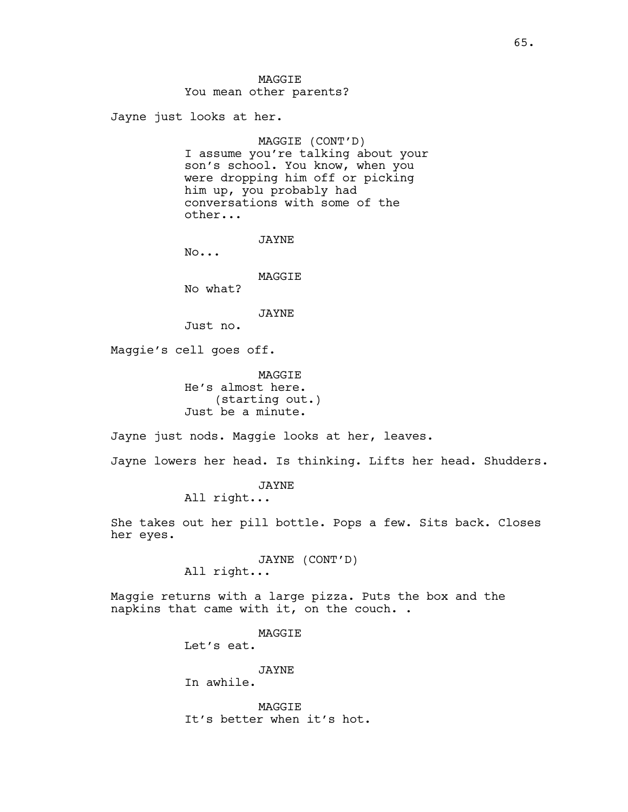# You mean other parents?

Jayne just looks at her.

MAGGIE (CONT'D) I assume you're talking about your son's school. You know, when you were dropping him off or picking him up, you probably had conversations with some of the other...

JAYNE

No...

MAGGIE

No what?

# JAYNE

Just no.

Maggie's cell goes off.

**MAGGTE** He's almost here. (starting out.) Just be a minute.

Jayne just nods. Maggie looks at her, leaves.

Jayne lowers her head. Is thinking. Lifts her head. Shudders.

JAYNE

All right...

She takes out her pill bottle. Pops a few. Sits back. Closes her eyes.

> JAYNE (CONT'D) All right...

Maggie returns with a large pizza. Puts the box and the napkins that came with it, on the couch. .

MAGGIE

Let's eat.

JAYNE In awhile.

**MAGGTE** It's better when it's hot.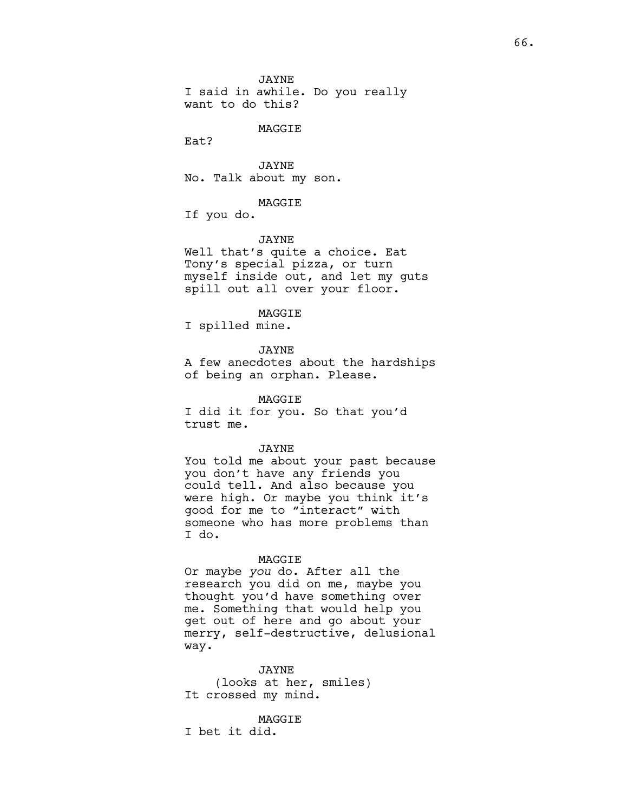JAYNE I said in awhile. Do you really want to do this?

### MAGGIE

Eat?

JAYNE No. Talk about my son.

### MAGGIE

If you do.

### JAYNE

Well that's quite a choice. Eat Tony's special pizza, or turn myself inside out, and let my guts spill out all over your floor.

#### MAGGIE

I spilled mine.

# JAYNE

A few anecdotes about the hardships of being an orphan. Please.

# MAGGIE

I did it for you. So that you'd trust me.

# JAYNE

You told me about your past because you don't have any friends you could tell. And also because you were high. Or maybe you think it's good for me to "interact" with someone who has more problems than I do.

#### MAGGIE

Or maybe you do. After all the research you did on me, maybe you thought you'd have something over me. Something that would help you get out of here and go about your merry, self-destructive, delusional way.

JAYNE (looks at her, smiles) It crossed my mind.

MAGGIE I bet it did.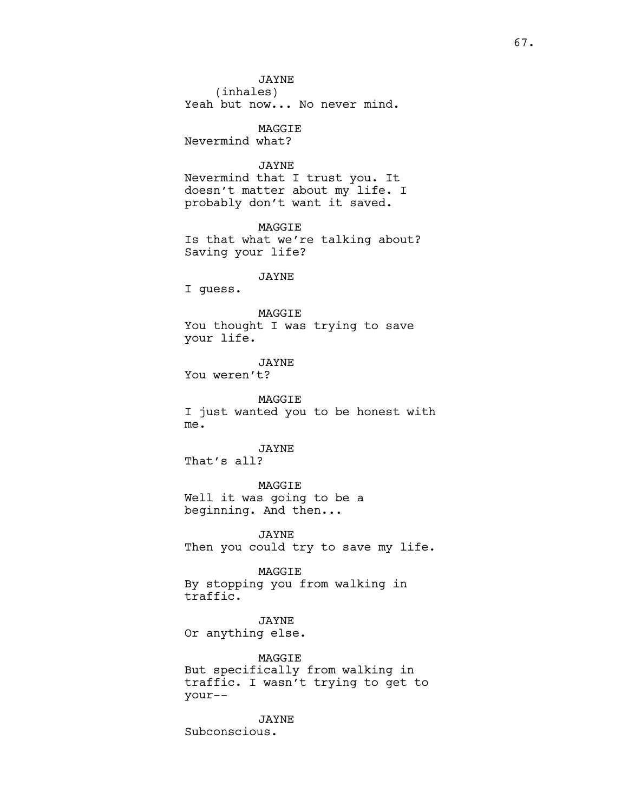JAYNE (inhales) Yeah but now... No never mind. MAGGIE Nevermind what? JAYNE Nevermind that I trust you. It doesn't matter about my life. I probably don't want it saved. MAGGIE Is that what we're talking about? Saving your life? JAYNE I guess. MAGGIE You thought I was trying to save your life. JAYNE You weren't? MAGGIE I just wanted you to be honest with me. JAYNE That's all? MAGGIE Well it was going to be a beginning. And then... JAYNE Then you could try to save my life. MAGGIE By stopping you from walking in traffic. JAYNE Or anything else. MAGGIE But specifically from walking in traffic. I wasn't trying to get to your--

JAYNE Subconscious.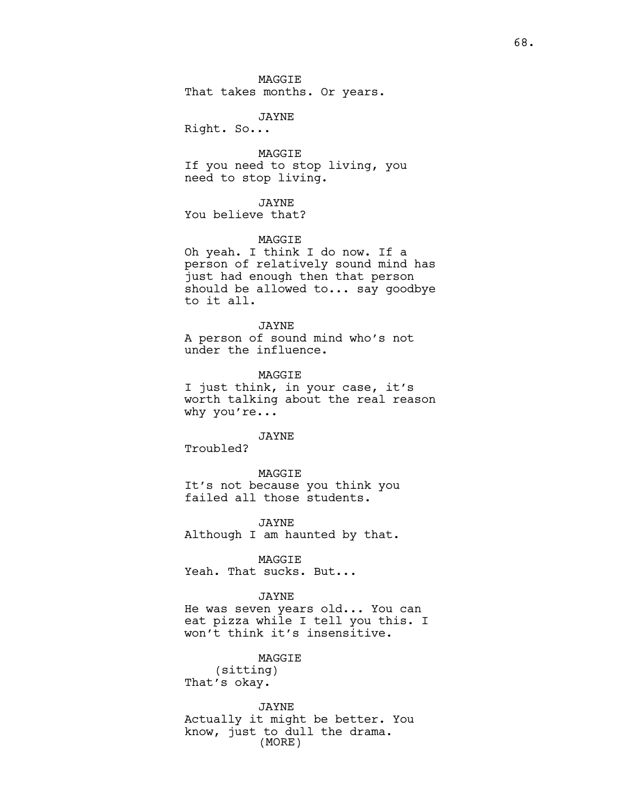MAGGIE That takes months. Or years.

JAYNE

Right. So...

MAGGIE If you need to stop living, you need to stop living.

JAYNE You believe that?

# MAGGIE

Oh yeah. I think I do now. If a person of relatively sound mind has just had enough then that person should be allowed to... say goodbye to it all.

JAYNE

A person of sound mind who's not under the influence.

MAGGIE I just think, in your case, it's worth talking about the real reason why you're...

JAYNE

Troubled?

### MAGGIE

It's not because you think you failed all those students.

JAYNE Although I am haunted by that.

MAGGIE Yeah. That sucks. But...

# JAYNE

He was seven years old... You can eat pizza while I tell you this. I won't think it's insensitive.

MAGGIE (sitting) That's okay.

JAYNE Actually it might be better. You know, just to dull the drama. (MORE)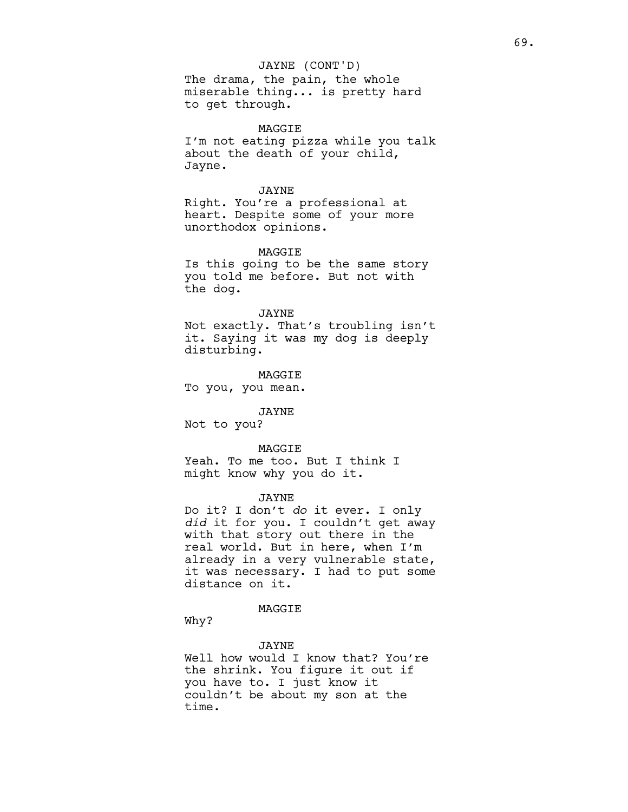# JAYNE (CONT'D)

The drama, the pain, the whole miserable thing... is pretty hard to get through.

MAGGIE I'm not eating pizza while you talk about the death of your child, Jayne.

# JAYNE

Right. You're a professional at heart. Despite some of your more unorthodox opinions.

### MAGGIE

Is this going to be the same story you told me before. But not with the dog.

### JAYNE

Not exactly. That's troubling isn't it. Saying it was my dog is deeply disturbing.

**MAGGTE** 

To you, you mean.

# JAYNE

Not to you?

#### MAGGIE

Yeah. To me too. But I think I might know why you do it.

#### JAYNE

Do it? I don't do it ever. I only did it for you. I couldn't get away with that story out there in the real world. But in here, when I'm already in a very vulnerable state, it was necessary. I had to put some distance on it.

# MAGGIE

Why?

#### JAYNE

Well how would I know that? You're the shrink. You figure it out if you have to. I just know it couldn't be about my son at the time.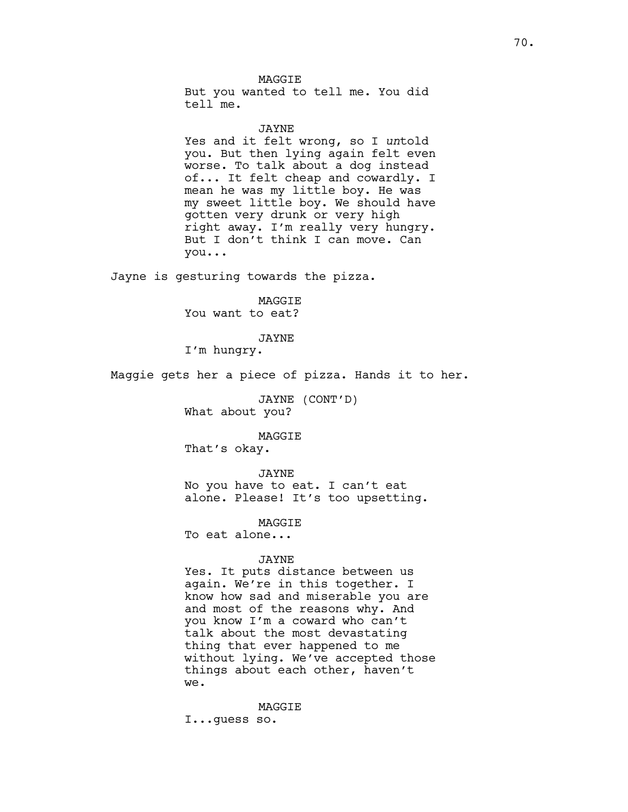MAGGIE But you wanted to tell me. You did tell me.

#### JAYNE

Yes and it felt wrong, so I untold you. But then lying again felt even worse. To talk about a dog instead of... It felt cheap and cowardly. I mean he was my little boy. He was my sweet little boy. We should have gotten very drunk or very high right away. I'm really very hungry. But I don't think I can move. Can you...

Jayne is gesturing towards the pizza.

MAGGIE

You want to eat?

JAYNE

I'm hungry.

Maggie gets her a piece of pizza. Hands it to her.

JAYNE (CONT'D) What about you?

**MAGGTE** 

That's okay.

JAYNE No you have to eat. I can't eat alone. Please! It's too upsetting.

MAGGIE

To eat alone...

# JAYNE

Yes. It puts distance between us again. We're in this together. I know how sad and miserable you are and most of the reasons why. And you know I'm a coward who can't talk about the most devastating thing that ever happened to me without lying. We've accepted those things about each other, haven't we.

MAGGIE I...guess so.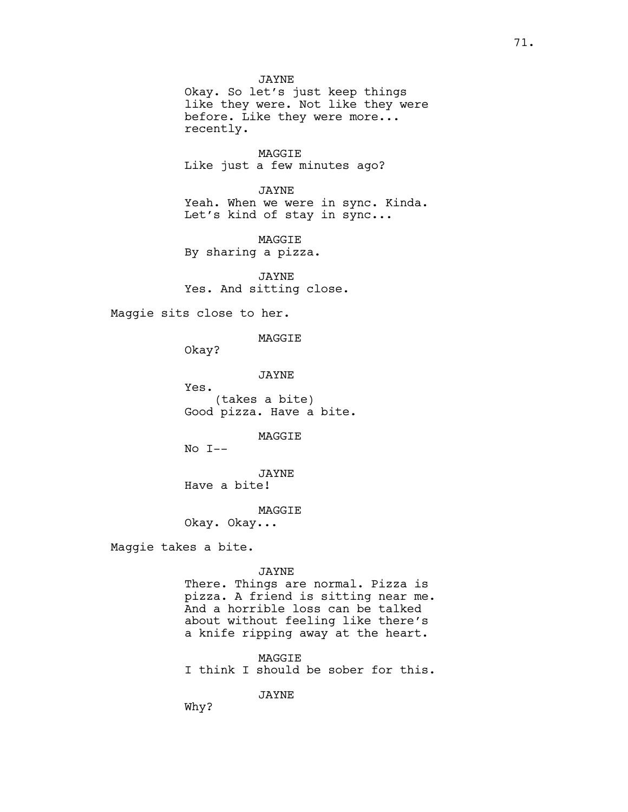JAYNE Okay. So let's just keep things like they were. Not like they were before. Like they were more... recently.

MAGGIE Like just a few minutes ago?

JAYNE Yeah. When we were in sync. Kinda. Let's kind of stay in sync...

MAGGIE By sharing a pizza.

JAYNE Yes. And sitting close.

Maggie sits close to her.

MAGGIE

Okay?

JAYNE

Yes. (takes a bite) Good pizza. Have a bite.

MAGGIE

 $No I--$ 

JAYNE Have a bite!

MAGGIE

Okay. Okay...

Maggie takes a bite.

JAYNE

There. Things are normal. Pizza is pizza. A friend is sitting near me. And a horrible loss can be talked about without feeling like there's a knife ripping away at the heart.

MAGGIE I think I should be sober for this.

JAYNE

Why?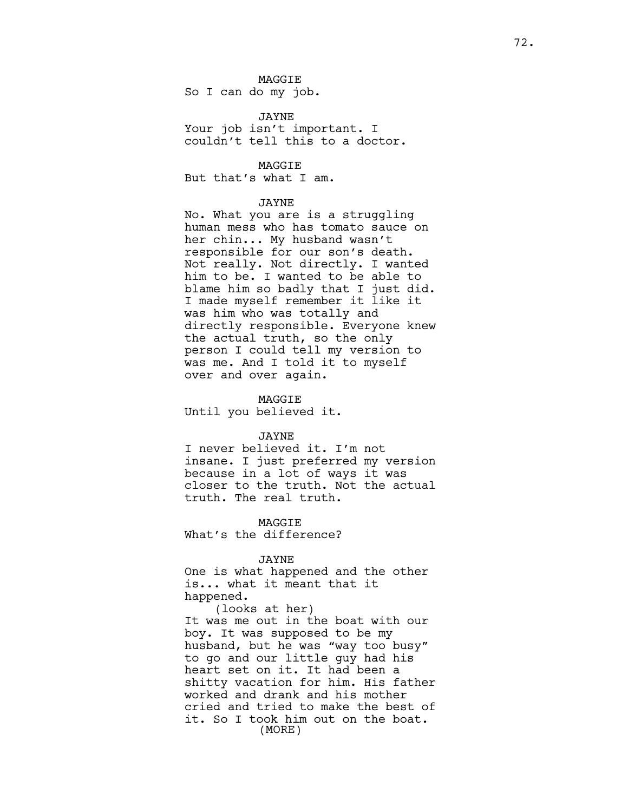MAGGIE

So I can do my job.

JAYNE Your job isn't important. I couldn't tell this to a doctor.

MAGGIE

But that's what I am.

### JAYNE

No. What you are is a struggling human mess who has tomato sauce on her chin... My husband wasn't responsible for our son's death. Not really. Not directly. I wanted him to be. I wanted to be able to blame him so badly that I just did. I made myself remember it like it was him who was totally and directly responsible. Everyone knew the actual truth, so the only person I could tell my version to was me. And I told it to myself over and over again.

MAGGIE

Until you believed it.

## JAYNE

I never believed it. I'm not insane. I just preferred my version because in a lot of ways it was closer to the truth. Not the actual truth. The real truth.

**MAGGTE** What's the difference?

#### JAYNE

One is what happened and the other is... what it meant that it happened.

(looks at her) It was me out in the boat with our boy. It was supposed to be my husband, but he was "way too busy" to go and our little guy had his heart set on it. It had been a shitty vacation for him. His father worked and drank and his mother cried and tried to make the best of it. So I took him out on the boat. (MORE)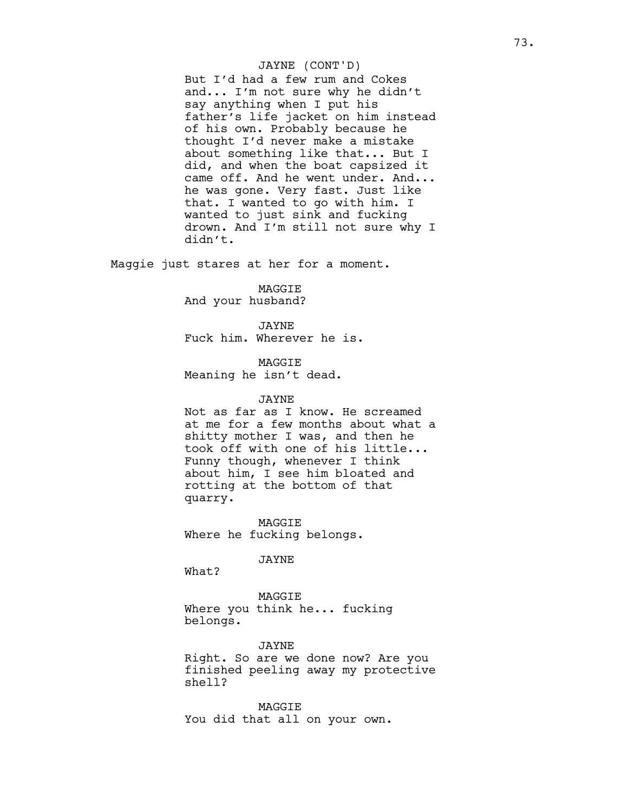### JAYNE (CONT'D)

But I'd had a few rum and Cokes and... I'm not sure why he didn't say anything when I put his father's life jacket on him instead of his own. Probably because he thought I'd never make a mistake about something like that... But I did, and when the boat capsized it came off. And he went under. And... he was gone. Very fast. Just like that. I wanted to go with him. I wanted to just sink and fucking drown. And I'm still not sure why I didn't.

Maggie just stares at her for a moment.

MAGGIE And your husband?

JAYNE Fuck him. Wherever he is.

MAGGIE Meaning he isn't dead.

#### JAYNE

Not as far as I know. He screamed at me for a few months about what a shitty mother I was, and then he took off with one of his little... Funny though, whenever I think about him, I see him bloated and rotting at the bottom of that quarry.

MAGGIE Where he fucking belongs.

JAYNE

What?

MAGGIE Where you think he... fucking belongs.

JAYNE Right. So are we done now? Are you finished peeling away my protective shell?

MAGGIE You did that all on your own.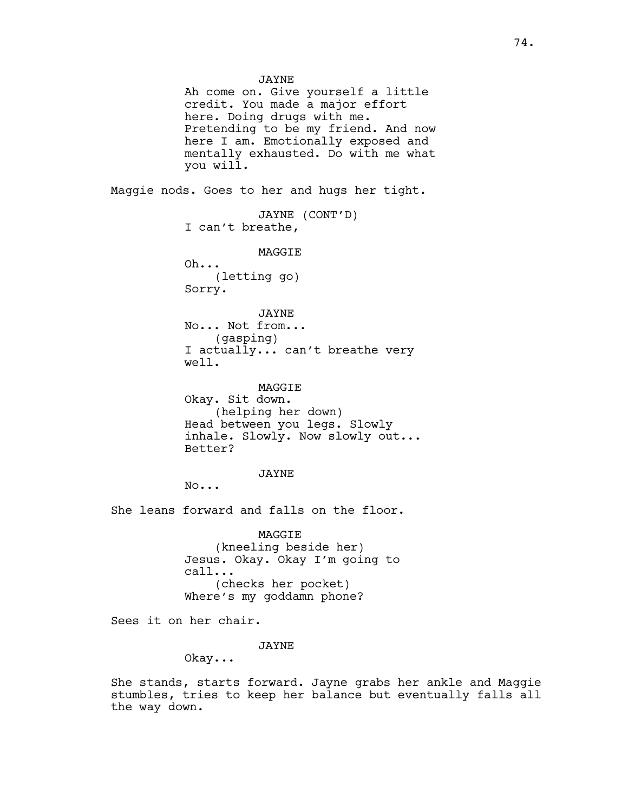JAYNE Ah come on. Give yourself a little credit. You made a major effort here. Doing drugs with me. Pretending to be my friend. And now here I am. Emotionally exposed and mentally exhausted. Do with me what you will.

Maggie nods. Goes to her and hugs her tight.

JAYNE (CONT'D) I can't breathe, MAGGIE Oh... (letting go) Sorry. JAYNE No... Not from... (gasping) I actually... can't breathe very well.

MAGGIE Okay. Sit down. (helping her down) Head between you legs. Slowly inhale. Slowly. Now slowly out... Better?

JAYNE

No...

She leans forward and falls on the floor.

MAGGIE (kneeling beside her) Jesus. Okay. Okay I'm going to call... (checks her pocket) Where's my goddamn phone?

Sees it on her chair.

JAYNE

Okay...

She stands, starts forward. Jayne grabs her ankle and Maggie stumbles, tries to keep her balance but eventually falls all the way down.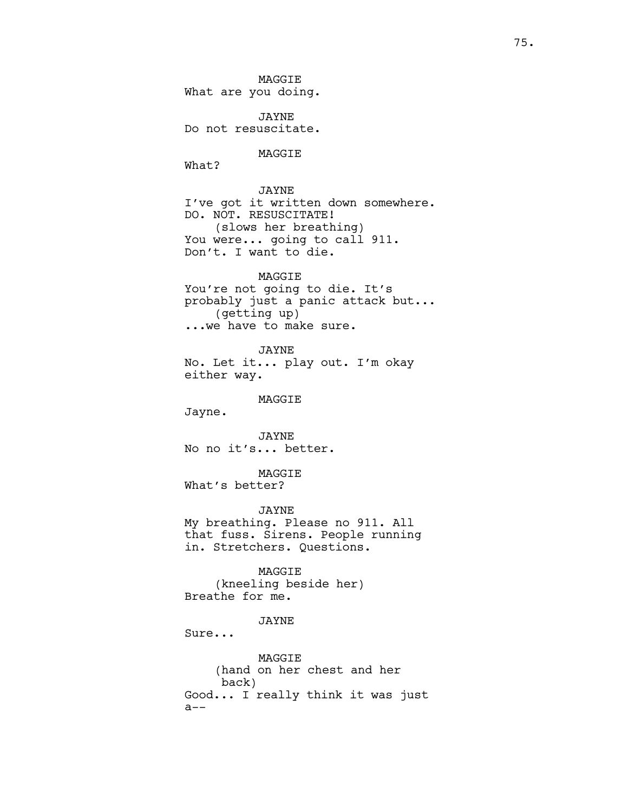MAGGIE What are you doing. JAYNE Do not resuscitate. MAGGIE What? JAYNE I've got it written down somewhere. DO. NOT. RESUSCITATE! (slows her breathing) You were... going to call 911. Don't. I want to die. MAGGIE You're not going to die. It's probably just a panic attack but... (getting up) ...we have to make sure. JAYNE No. Let it... play out. I'm okay either way. MAGGIE Jayne. JAYNE No no it's... better. MAGGIE What's better? JAYNE My breathing. Please no 911. All that fuss. Sirens. People running in. Stretchers. Questions. MAGGIE (kneeling beside her) Breathe for me. JAYNE Sure... MAGGIE (hand on her chest and her back)

Good... I really think it was just  $a--$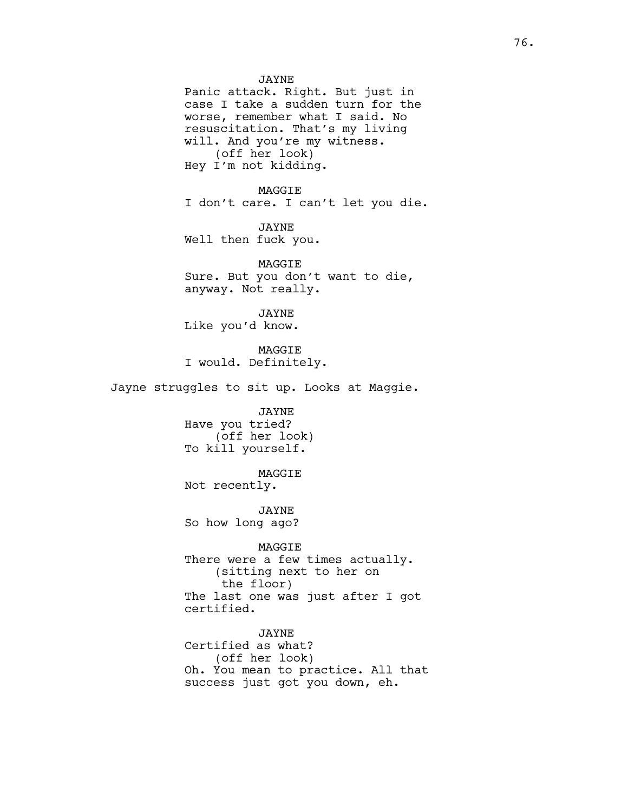JAYNE Panic attack. Right. But just in case I take a sudden turn for the worse, remember what I said. No resuscitation. That's my living will. And you're my witness. (off her look) Hey I'm not kidding. MAGGIE I don't care. I can't let you die. JAYNE Well then fuck you. MAGGIE Sure. But you don't want to die, anyway. Not really. JAYNE Like you'd know. MAGGIE I would. Definitely. Jayne struggles to sit up. Looks at Maggie. JAYNE Have you tried? (off her look) To kill yourself. MAGGIE Not recently. JAYNE So how long ago? MAGGIE There were a few times actually. (sitting next to her on the floor) The last one was just after I got certified. JAYNE Certified as what? (off her look) Oh. You mean to practice. All that success just got you down, eh.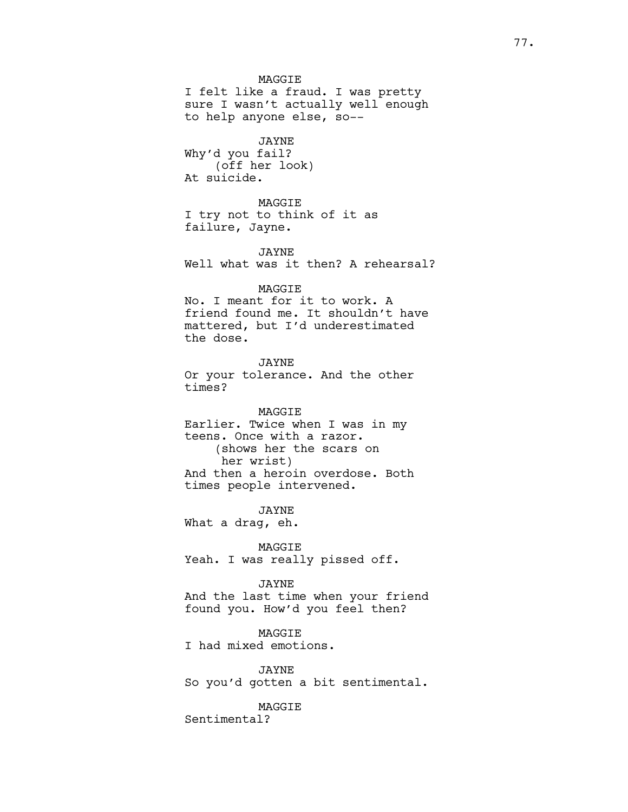MAGGIE I felt like a fraud. I was pretty sure I wasn't actually well enough to help anyone else, so-- JAYNE Why'd you fail? (off her look) At suicide. MAGGIE I try not to think of it as failure, Jayne. JAYNE Well what was it then? A rehearsal? MAGGIE No. I meant for it to work. A friend found me. It shouldn't have mattered, but I'd underestimated the dose. JAYNE Or your tolerance. And the other times? MAGGIE Earlier. Twice when I was in my teens. Once with a razor. (shows her the scars on her wrist) And then a heroin overdose. Both times people intervened. JAYNE What a drag, eh. MAGGIE Yeah. I was really pissed off. JAYNE And the last time when your friend found you. How'd you feel then? MAGGIE I had mixed emotions. JAYNE

So you'd gotten a bit sentimental.

MAGGIE

Sentimental?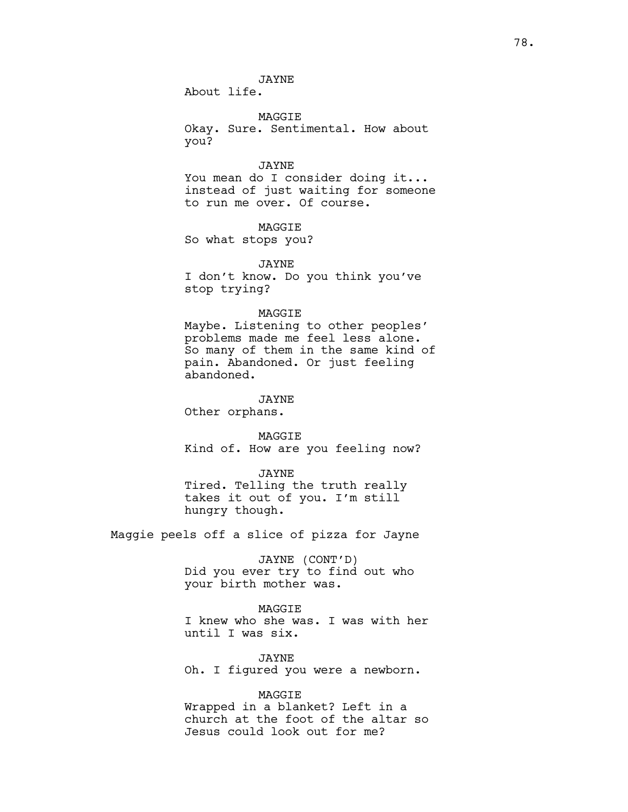JAYNE

About life.

MAGGIE Okay. Sure. Sentimental. How about you?

## JAYNE

You mean do I consider doing it... instead of just waiting for someone to run me over. Of course.

# MAGGIE

So what stops you?

JAYNE I don't know. Do you think you've stop trying?

## MAGGIE

Maybe. Listening to other peoples' problems made me feel less alone. So many of them in the same kind of pain. Abandoned. Or just feeling abandoned.

### JAYNE

Other orphans.

**MAGGTE** Kind of. How are you feeling now?

#### JAYNE

Tired. Telling the truth really takes it out of you. I'm still hungry though.

Maggie peels off a slice of pizza for Jayne

# JAYNE (CONT'D)

Did you ever try to find out who your birth mother was.

## MAGGIE

I knew who she was. I was with her until I was six.

JAYNE Oh. I figured you were a newborn.

#### MAGGIE

Wrapped in a blanket? Left in a church at the foot of the altar so Jesus could look out for me?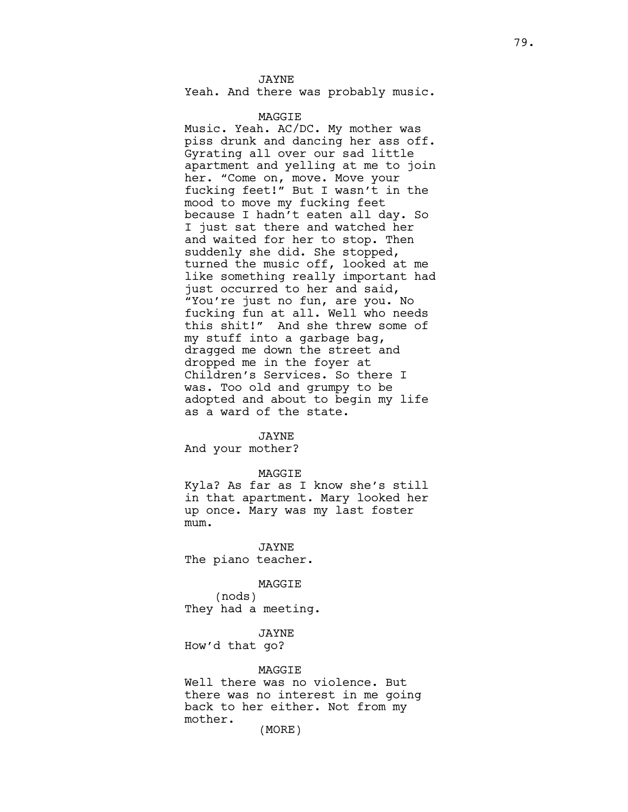JAYNE

Yeah. And there was probably music.

### MAGGIE

Music. Yeah. AC/DC. My mother was piss drunk and dancing her ass off. Gyrating all over our sad little apartment and yelling at me to join her. "Come on, move. Move your fucking feet!" But I wasn't in the mood to move my fucking feet because I hadn't eaten all day. So I just sat there and watched her and waited for her to stop. Then suddenly she did. She stopped, turned the music off, looked at me like something really important had just occurred to her and said, "You're just no fun, are you. No fucking fun at all. Well who needs this shit!" And she threw some of my stuff into a garbage bag, dragged me down the street and dropped me in the foyer at Children's Services. So there I was. Too old and grumpy to be adopted and about to begin my life as a ward of the state.

#### JAYNE

And your mother?

#### MAGGIE

Kyla? As far as I know she's still in that apartment. Mary looked her up once. Mary was my last foster mum.

JAYNE The piano teacher.

## MAGGIE

(nods) They had a meeting.

#### JAYNE

How'd that go?

### MAGGIE

Well there was no violence. But there was no interest in me going back to her either. Not from my mother.

(MORE)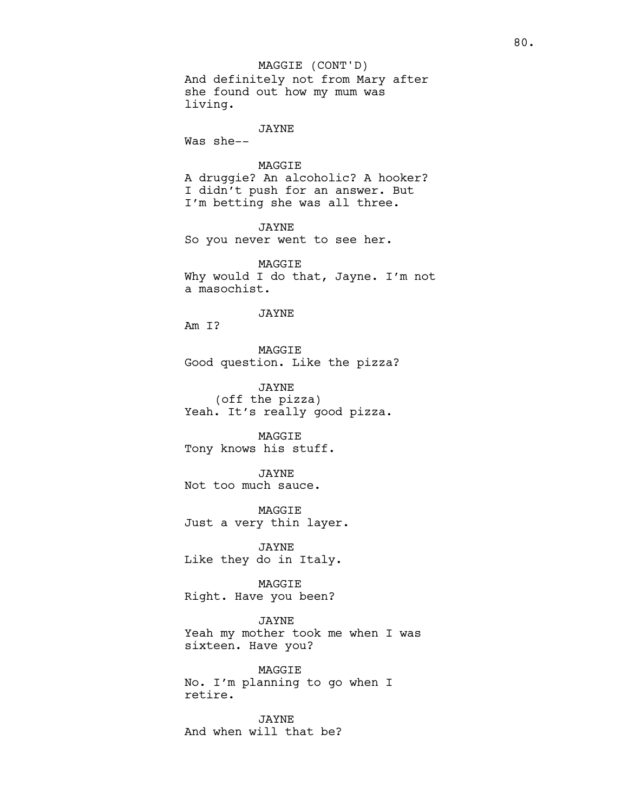# MAGGIE (CONT'D)

And definitely not from Mary after she found out how my mum was living.

### JAYNE

Was she--

#### MAGGIE

A druggie? An alcoholic? A hooker? I didn't push for an answer. But I'm betting she was all three.

JAYNE So you never went to see her.

MAGGIE Why would I do that, Jayne. I'm not a masochist.

### JAYNE

Am I?

MAGGIE Good question. Like the pizza?

JAYNE (off the pizza) Yeah. It's really good pizza.

MAGGIE Tony knows his stuff.

JAYNE Not too much sauce.

MAGGIE Just a very thin layer.

JAYNE Like they do in Italy.

### MAGGIE

Right. Have you been?

### JAYNE

Yeah my mother took me when I was sixteen. Have you?

MAGGIE No. I'm planning to go when I retire.

JAYNE And when will that be?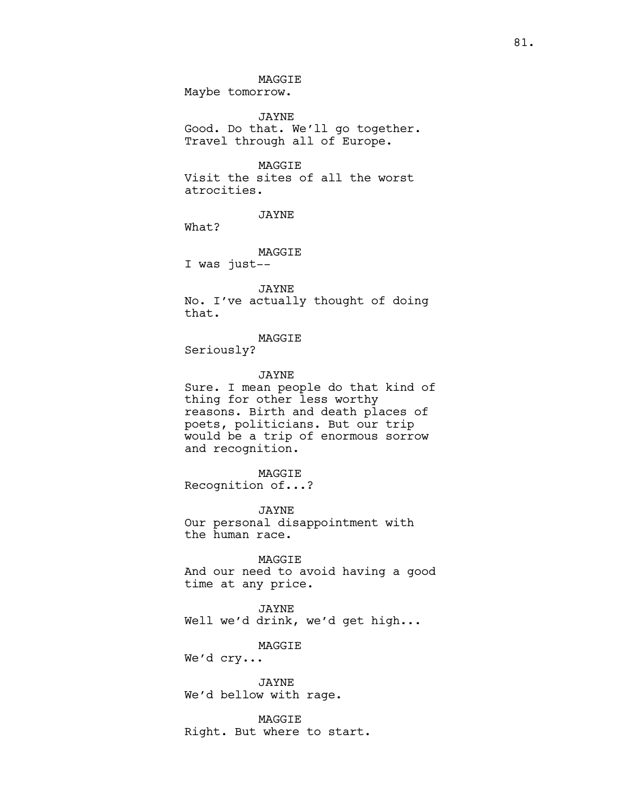MAGGIE Maybe tomorrow.

JAYNE Good. Do that. We'll go together. Travel through all of Europe.

MAGGIE Visit the sites of all the worst atrocities.

JAYNE

What?

MAGGIE I was just--

JAYNE No. I've actually thought of doing that.

MAGGIE Seriously?

JAYNE

Sure. I mean people do that kind of thing for other less worthy reasons. Birth and death places of poets, politicians. But our trip would be a trip of enormous sorrow and recognition.

MAGGIE Recognition of...?

JAYNE Our personal disappointment with the human race.

MAGGIE

And our need to avoid having a good time at any price.

JAYNE Well we'd drink, we'd get high...

MAGGIE

We'd cry...

JAYNE We'd bellow with rage.

MAGGIE Right. But where to start.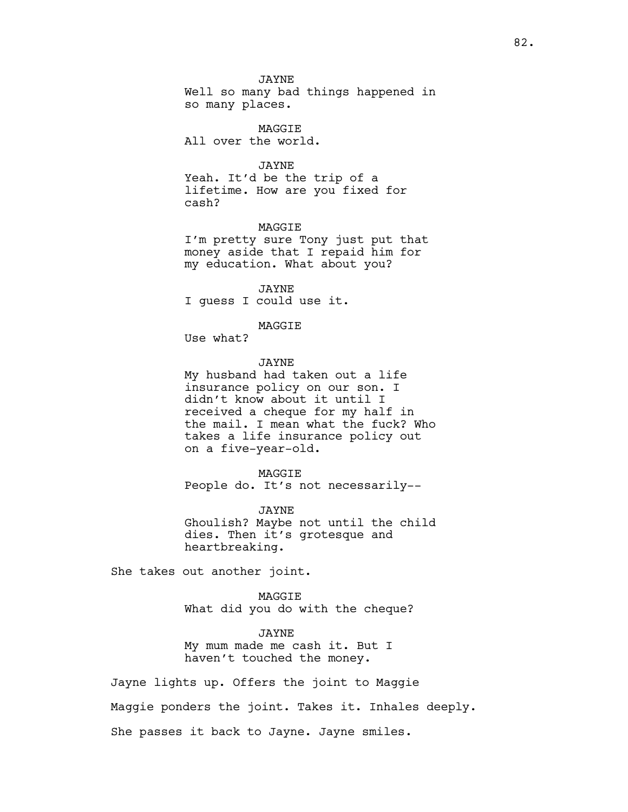JAYNE

Well so many bad things happened in so many places.

MAGGIE All over the world.

## JAYNE

Yeah. It'd be the trip of a lifetime. How are you fixed for cash?

## MAGGIE

I'm pretty sure Tony just put that money aside that I repaid him for my education. What about you?

JAYNE I guess I could use it.

# **MAGGIE**

Use what?

# JAYNE

My husband had taken out a life insurance policy on our son. I didn't know about it until I received a cheque for my half in the mail. I mean what the fuck? Who takes a life insurance policy out on a five-year-old.

#### MAGGIE

People do. It's not necessarily--

JAYNE

Ghoulish? Maybe not until the child dies. Then it's grotesque and heartbreaking.

She takes out another joint.

MAGGIE What did you do with the cheque?

JAYNE My mum made me cash it. But I haven't touched the money.

Jayne lights up. Offers the joint to Maggie Maggie ponders the joint. Takes it. Inhales deeply. She passes it back to Jayne. Jayne smiles.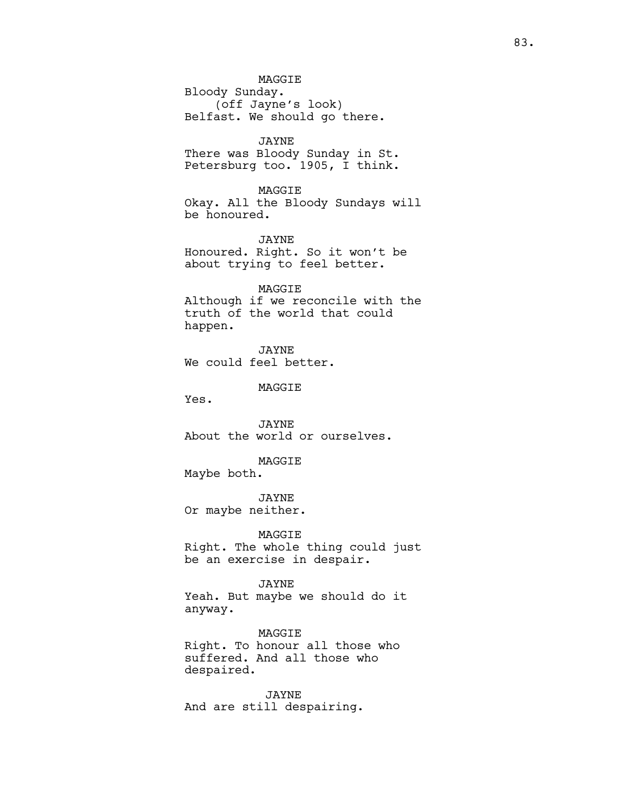MAGGIE Bloody Sunday. (off Jayne's look) Belfast. We should go there. JAYNE

There was Bloody Sunday in St. Petersburg too. 1905, I think.

MAGGIE Okay. All the Bloody Sundays will be honoured.

JAYNE Honoured. Right. So it won't be about trying to feel better.

MAGGIE Although if we reconcile with the truth of the world that could happen.

JAYNE We could feel better.

MAGGIE

Yes.

JAYNE About the world or ourselves.

MAGGIE

Maybe both.

JAYNE Or maybe neither.

MAGGIE Right. The whole thing could just be an exercise in despair.

JAYNE

Yeah. But maybe we should do it anyway.

MAGGIE Right. To honour all those who suffered. And all those who despaired.

 JAYNE And are still despairing.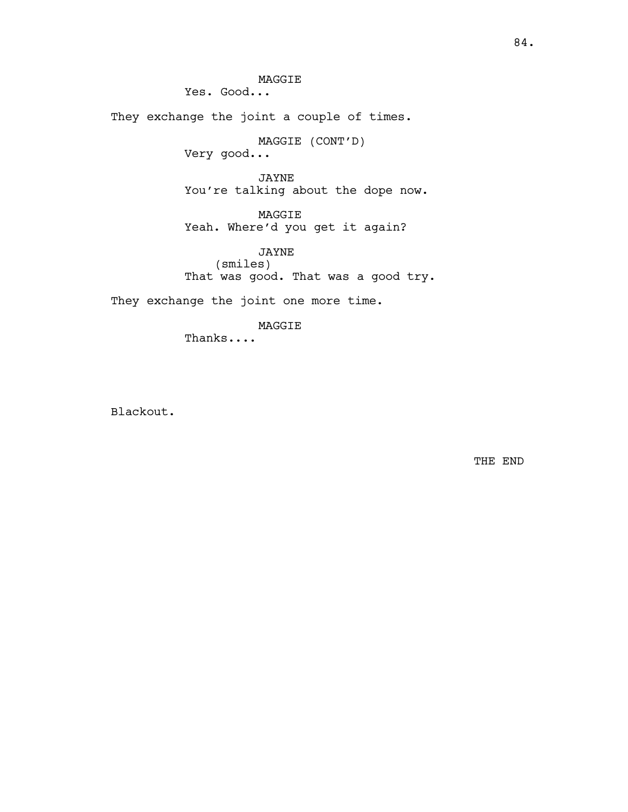MAGGIE Yes. Good...

They exchange the joint a couple of times.

MAGGIE (CONT'D) Very good...

JAYNE You're talking about the dope now.

MAGGIE Yeah. Where'd you get it again?

JAYNE (smiles) That was good. That was a good try.

They exchange the joint one more time.

MAGGIE

Thanks....

Blackout.

THE END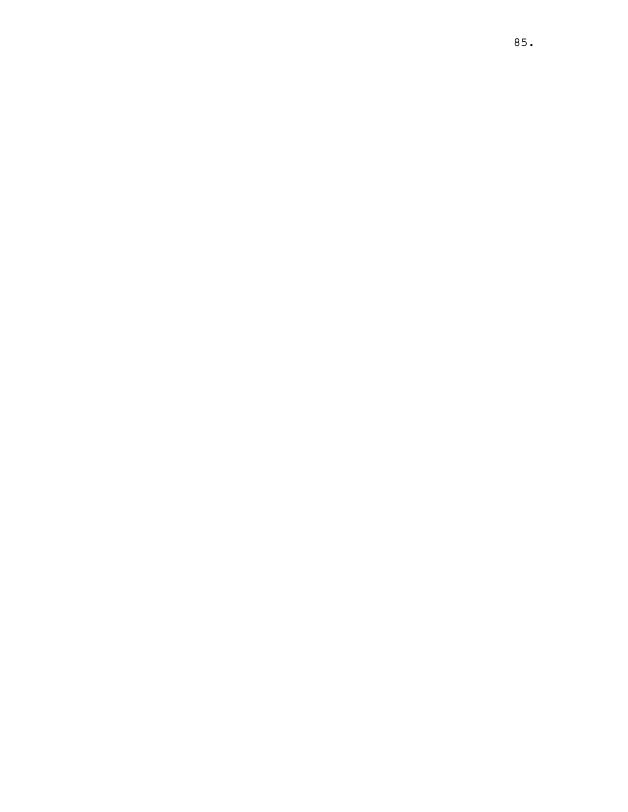85.